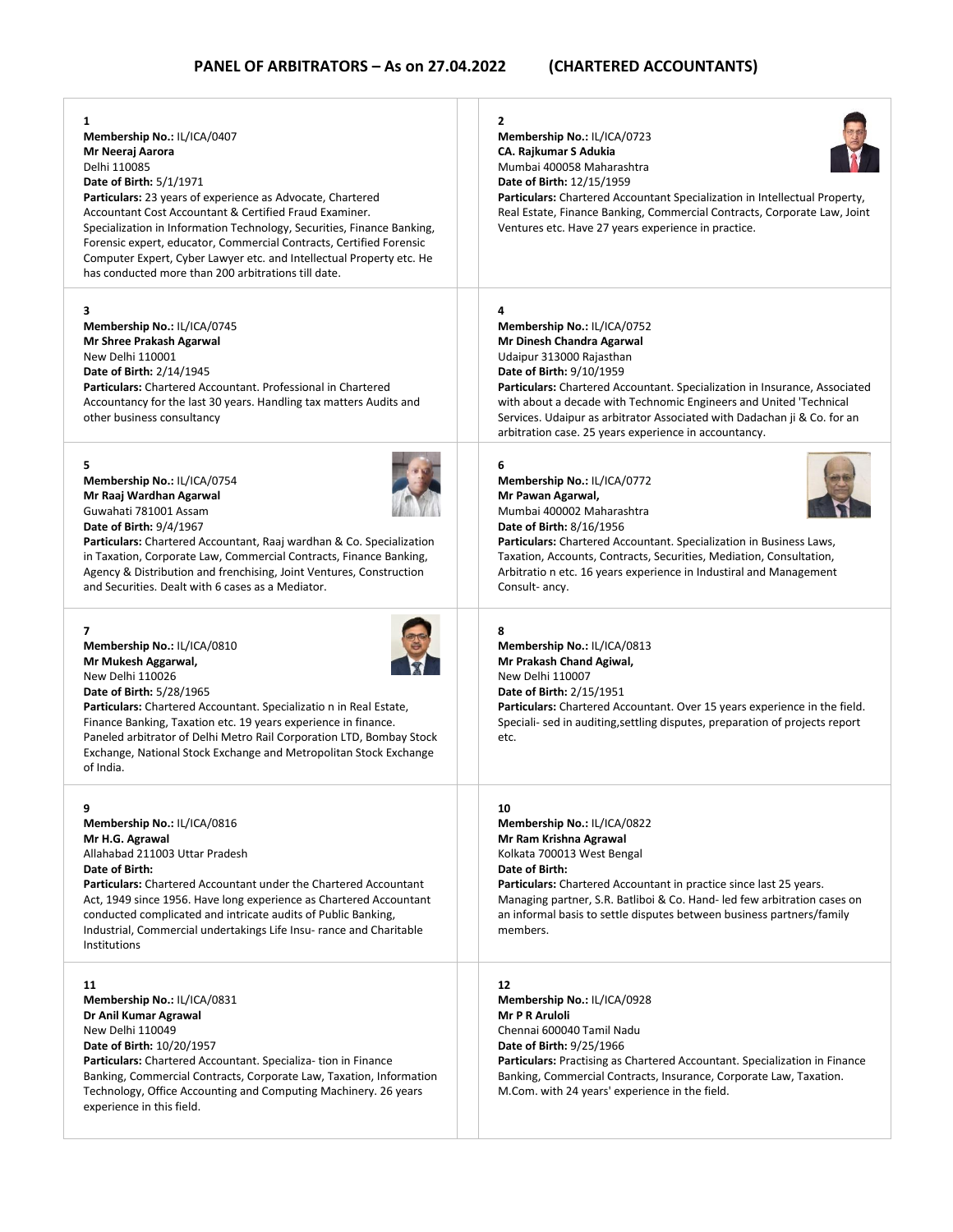| 1<br>Membership No.: IL/ICA/0407<br>Mr Neeraj Aarora<br>Delhi 110085<br>Date of Birth: 5/1/1971<br>Particulars: 23 years of experience as Advocate, Chartered<br>Accountant Cost Accountant & Certified Fraud Examiner.<br>Specialization in Information Technology, Securities, Finance Banking,<br>Forensic expert, educator, Commercial Contracts, Certified Forensic<br>Computer Expert, Cyber Lawyer etc. and Intellectual Property etc. He<br>has conducted more than 200 arbitrations till date. | 2<br>Membership No.: IL/ICA/0723<br>CA. Rajkumar S Adukia<br>Mumbai 400058 Maharashtra<br>Date of Birth: 12/15/1959<br>Particulars: Chartered Accountant Specialization in Intellectual Property,<br>Real Estate, Finance Banking, Commercial Contracts, Corporate Law, Joint<br>Ventures etc. Have 27 years experience in practice.                                                                           |
|---------------------------------------------------------------------------------------------------------------------------------------------------------------------------------------------------------------------------------------------------------------------------------------------------------------------------------------------------------------------------------------------------------------------------------------------------------------------------------------------------------|----------------------------------------------------------------------------------------------------------------------------------------------------------------------------------------------------------------------------------------------------------------------------------------------------------------------------------------------------------------------------------------------------------------|
| 3<br>Membership No.: IL/ICA/0745<br>Mr Shree Prakash Agarwal<br>New Delhi 110001<br><b>Date of Birth: 2/14/1945</b><br>Particulars: Chartered Accountant. Professional in Chartered<br>Accountancy for the last 30 years. Handling tax matters Audits and<br>other business consultancy                                                                                                                                                                                                                 | 4<br>Membership No.: IL/ICA/0752<br>Mr Dinesh Chandra Agarwal<br>Udaipur 313000 Rajasthan<br>Date of Birth: 9/10/1959<br>Particulars: Chartered Accountant. Specialization in Insurance, Associated<br>with about a decade with Technomic Engineers and United 'Technical<br>Services. Udaipur as arbitrator Associated with Dadachan ji & Co. for an<br>arbitration case. 25 years experience in accountancy. |
| 5<br>Membership No.: IL/ICA/0754<br>Mr Raaj Wardhan Agarwal<br>Guwahati 781001 Assam<br>Date of Birth: 9/4/1967<br><b>Particulars:</b> Chartered Accountant, Raaj wardhan & Co. Specialization<br>in Taxation, Corporate Law, Commercial Contracts, Finance Banking,<br>Agency & Distribution and frenchising, Joint Ventures, Construction<br>and Securities. Dealt with 6 cases as a Mediator.                                                                                                        | 6<br>Membership No.: IL/ICA/0772<br>Mr Pawan Agarwal,<br>Mumbai 400002 Maharashtra<br><b>Date of Birth: 8/16/1956</b><br>Particulars: Chartered Accountant. Specialization in Business Laws,<br>Taxation, Accounts, Contracts, Securities, Mediation, Consultation,<br>Arbitratio n etc. 16 years experience in Industiral and Management<br>Consult- ancy.                                                    |
| $\overline{7}$<br>Membership No.: IL/ICA/0810<br>Mr Mukesh Aggarwal,<br>New Delhi 110026<br>Date of Birth: 5/28/1965<br>Particulars: Chartered Accountant. Specializatio n in Real Estate,<br>Finance Banking, Taxation etc. 19 years experience in finance.<br>Paneled arbitrator of Delhi Metro Rail Corporation LTD, Bombay Stock<br>Exchange, National Stock Exchange and Metropolitan Stock Exchange<br>of India.                                                                                  | 8<br>Membership No.: IL/ICA/0813<br>Mr Prakash Chand Agiwal,<br>New Delhi 110007<br><b>Date of Birth: 2/15/1951</b><br><b>Particulars:</b> Chartered Accountant. Over 15 years experience in the field.<br>Speciali- sed in auditing, settling disputes, preparation of projects report<br>etc.                                                                                                                |
| 9<br>Membership No.: IL/ICA/0816<br>Mr H.G. Agrawal<br>Allahabad 211003 Uttar Pradesh<br>Date of Birth:<br><b>Particulars:</b> Chartered Accountant under the Chartered Accountant<br>Act, 1949 since 1956. Have long experience as Chartered Accountant<br>conducted complicated and intricate audits of Public Banking,<br>Industrial, Commercial undertakings Life Insu- rance and Charitable<br>Institutions                                                                                        | 10<br>Membership No.: IL/ICA/0822<br>Mr Ram Krishna Agrawal<br>Kolkata 700013 West Bengal<br>Date of Birth:<br>Particulars: Chartered Accountant in practice since last 25 years.<br>Managing partner, S.R. Batliboi & Co. Hand- led few arbitration cases on<br>an informal basis to settle disputes between business partners/family<br>members.                                                             |
| 11<br>Membership No.: IL/ICA/0831<br>Dr Anil Kumar Agrawal<br>New Delhi 110049<br>Date of Birth: 10/20/1957<br>Particulars: Chartered Accountant. Specializa- tion in Finance<br>Banking, Commercial Contracts, Corporate Law, Taxation, Information<br>Technology, Office Accounting and Computing Machinery. 26 years<br>experience in this field.                                                                                                                                                    | 12<br>Membership No.: IL/ICA/0928<br><b>Mr P R Aruloli</b><br>Chennai 600040 Tamil Nadu<br><b>Date of Birth: 9/25/1966</b><br><b>Particulars:</b> Practising as Chartered Accountant. Specialization in Finance<br>Banking, Commercial Contracts, Insurance, Corporate Law, Taxation.<br>M.Com. with 24 years' experience in the field.                                                                        |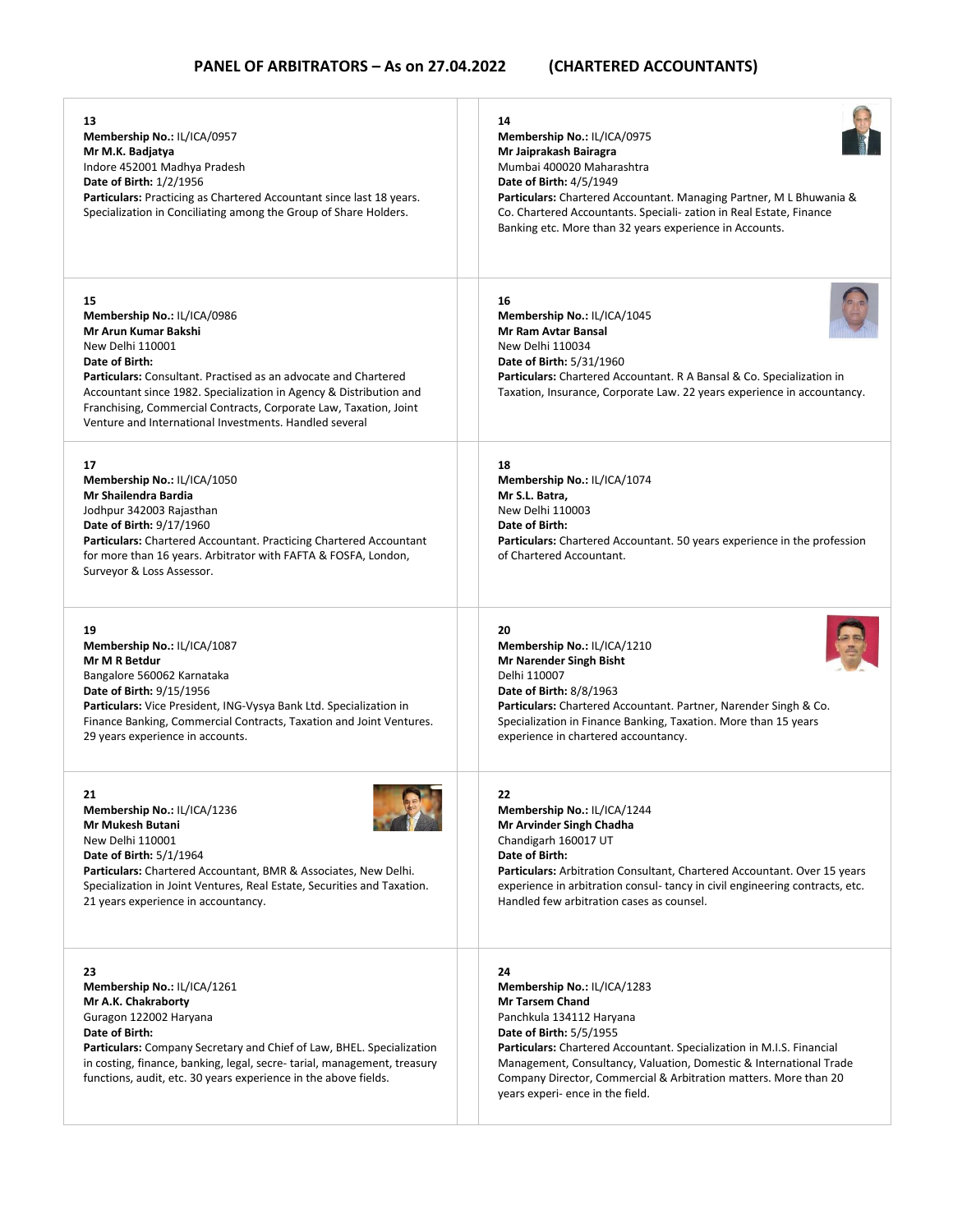| 13<br>Membership No.: IL/ICA/0957<br>Mr M.K. Badjatya<br>Indore 452001 Madhya Pradesh<br>Date of Birth: 1/2/1956<br><b>Particulars:</b> Practicing as Chartered Accountant since last 18 years.<br>Specialization in Conciliating among the Group of Share Holders.                                                                                                     | 14<br>Membership No.: IL/ICA/0975<br>Mr Jaiprakash Bairagra<br>Mumbai 400020 Maharashtra<br><b>Date of Birth: 4/5/1949</b><br>Particulars: Chartered Accountant. Managing Partner, M L Bhuwania &<br>Co. Chartered Accountants. Speciali- zation in Real Estate, Finance<br>Banking etc. More than 32 years experience in Accounts.                                              |
|-------------------------------------------------------------------------------------------------------------------------------------------------------------------------------------------------------------------------------------------------------------------------------------------------------------------------------------------------------------------------|----------------------------------------------------------------------------------------------------------------------------------------------------------------------------------------------------------------------------------------------------------------------------------------------------------------------------------------------------------------------------------|
| 15<br>Membership No.: IL/ICA/0986<br>Mr Arun Kumar Bakshi<br>New Delhi 110001<br>Date of Birth:<br>Particulars: Consultant. Practised as an advocate and Chartered<br>Accountant since 1982. Specialization in Agency & Distribution and<br>Franchising, Commercial Contracts, Corporate Law, Taxation, Joint<br>Venture and International Investments, Handled several | 16<br>Membership No.: IL/ICA/1045<br><b>Mr Ram Avtar Bansal</b><br>New Delhi 110034<br><b>Date of Birth: 5/31/1960</b><br>Particulars: Chartered Accountant. R A Bansal & Co. Specialization in<br>Taxation, Insurance, Corporate Law. 22 years experience in accountancy.                                                                                                       |
| 17<br>Membership No.: IL/ICA/1050<br>Mr Shailendra Bardia<br>Jodhpur 342003 Rajasthan<br><b>Date of Birth: 9/17/1960</b><br>Particulars: Chartered Accountant. Practicing Chartered Accountant<br>for more than 16 years. Arbitrator with FAFTA & FOSFA, London,<br>Surveyor & Loss Assessor.                                                                           | 18<br>Membership No.: IL/ICA/1074<br>Mr S.L. Batra,<br>New Delhi 110003<br>Date of Birth:<br><b>Particulars:</b> Chartered Accountant. 50 years experience in the profession<br>of Chartered Accountant.                                                                                                                                                                         |
| 19<br>Membership No.: IL/ICA/1087<br>Mr M R Betdur<br>Bangalore 560062 Karnataka<br><b>Date of Birth: 9/15/1956</b><br>Particulars: Vice President, ING-Vysya Bank Ltd. Specialization in<br>Finance Banking, Commercial Contracts, Taxation and Joint Ventures.<br>29 years experience in accounts.                                                                    | 20<br>Membership No.: IL/ICA/1210<br><b>Mr Narender Singh Bisht</b><br>Delhi 110007<br><b>Date of Birth: 8/8/1963</b><br>Particulars: Chartered Accountant. Partner, Narender Singh & Co.<br>Specialization in Finance Banking, Taxation. More than 15 years<br>experience in chartered accountancy.                                                                             |
| 21<br>Membership No.: IL/ICA/1236<br><b>Mr Mukesh Butani</b><br>New Delhi 110001<br><b>Date of Birth: 5/1/1964</b><br>Particulars: Chartered Accountant, BMR & Associates, New Delhi.<br>Specialization in Joint Ventures, Real Estate, Securities and Taxation.<br>21 years experience in accountancy.                                                                 | 22<br>Membership No.: IL/ICA/1244<br>Mr Arvinder Singh Chadha<br>Chandigarh 160017 UT<br>Date of Birth:<br>Particulars: Arbitration Consultant, Chartered Accountant. Over 15 years<br>experience in arbitration consul-tancy in civil engineering contracts, etc.<br>Handled few arbitration cases as counsel.                                                                  |
| 23<br>Membership No.: IL/ICA/1261<br>Mr A.K. Chakraborty<br>Guragon 122002 Haryana<br>Date of Birth:<br><b>Particulars:</b> Company Secretary and Chief of Law, BHEL. Specialization<br>in costing, finance, banking, legal, secre-tarial, management, treasury<br>functions, audit, etc. 30 years experience in the above fields.                                      | 24<br>Membership No.: IL/ICA/1283<br><b>Mr Tarsem Chand</b><br>Panchkula 134112 Haryana<br><b>Date of Birth: 5/5/1955</b><br>Particulars: Chartered Accountant. Specialization in M.I.S. Financial<br>Management, Consultancy, Valuation, Domestic & International Trade<br>Company Director, Commercial & Arbitration matters. More than 20<br>years experi- ence in the field. |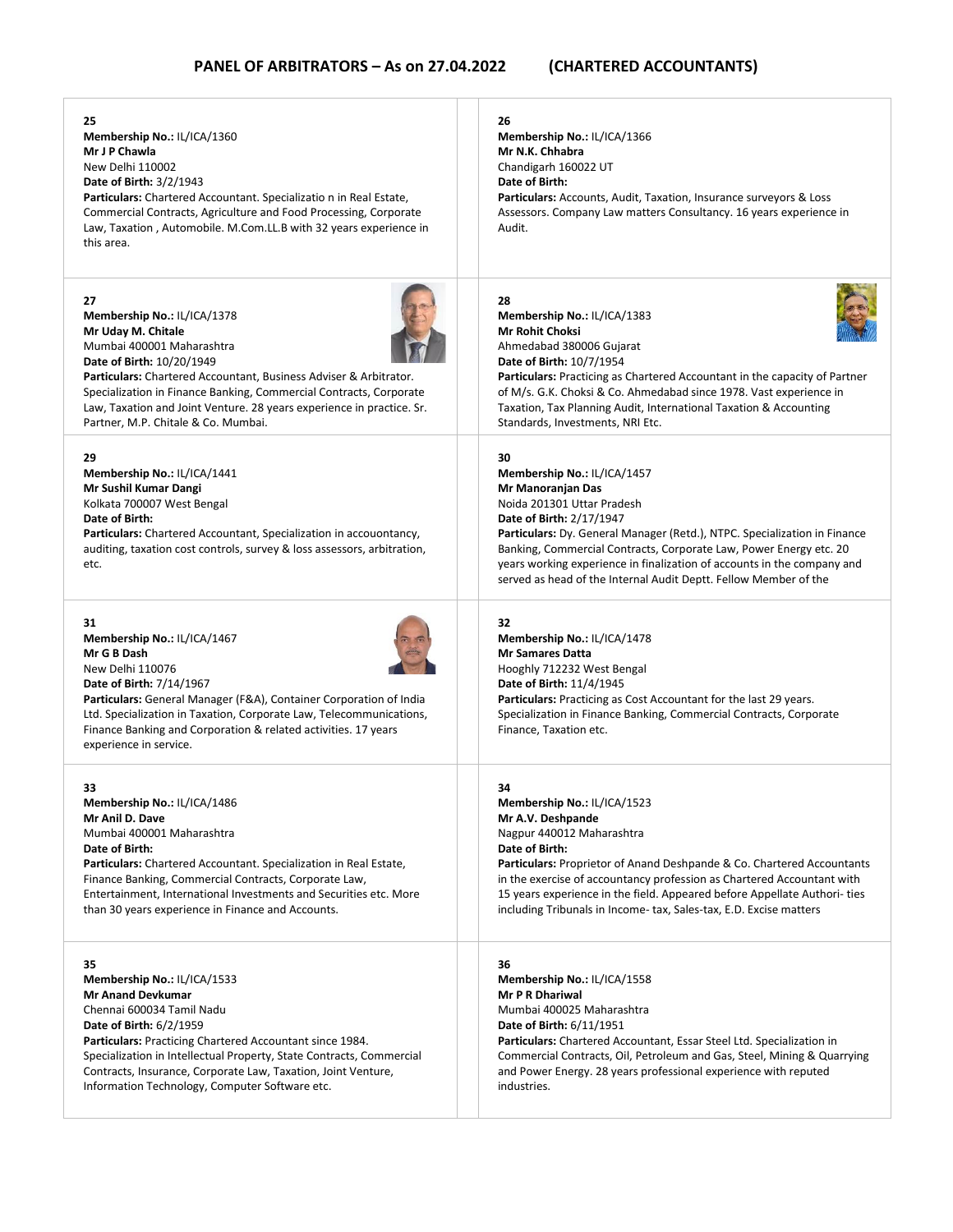| 25<br>Membership No.: IL/ICA/1360<br>Mr J P Chawla<br>New Delhi 110002<br><b>Date of Birth: 3/2/1943</b><br>Particulars: Chartered Accountant. Specializatio n in Real Estate,<br>Commercial Contracts, Agriculture and Food Processing, Corporate<br>Law, Taxation, Automobile. M.Com.LL.B with 32 years experience in<br>this area.            | 26<br>Membership No.: IL/ICA/1366<br>Mr N.K. Chhabra<br>Chandigarh 160022 UT<br>Date of Birth:<br>Particulars: Accounts, Audit, Taxation, Insurance surveyors & Loss<br>Assessors. Company Law matters Consultancy. 16 years experience in<br>Audit.                                                                                                                                                               |
|--------------------------------------------------------------------------------------------------------------------------------------------------------------------------------------------------------------------------------------------------------------------------------------------------------------------------------------------------|--------------------------------------------------------------------------------------------------------------------------------------------------------------------------------------------------------------------------------------------------------------------------------------------------------------------------------------------------------------------------------------------------------------------|
| 27                                                                                                                                                                                                                                                                                                                                               | 28                                                                                                                                                                                                                                                                                                                                                                                                                 |
| Membership No.: IL/ICA/1378                                                                                                                                                                                                                                                                                                                      | Membership No.: IL/ICA/1383                                                                                                                                                                                                                                                                                                                                                                                        |
| Mr Uday M. Chitale                                                                                                                                                                                                                                                                                                                               | <b>Mr Rohit Choksi</b>                                                                                                                                                                                                                                                                                                                                                                                             |
| Mumbai 400001 Maharashtra                                                                                                                                                                                                                                                                                                                        | Ahmedabad 380006 Gujarat                                                                                                                                                                                                                                                                                                                                                                                           |
| Date of Birth: 10/20/1949                                                                                                                                                                                                                                                                                                                        | Date of Birth: 10/7/1954                                                                                                                                                                                                                                                                                                                                                                                           |
| Particulars: Chartered Accountant, Business Adviser & Arbitrator.                                                                                                                                                                                                                                                                                | <b>Particulars:</b> Practicing as Chartered Accountant in the capacity of Partner                                                                                                                                                                                                                                                                                                                                  |
| Specialization in Finance Banking, Commercial Contracts, Corporate                                                                                                                                                                                                                                                                               | of M/s. G.K. Choksi & Co. Ahmedabad since 1978. Vast experience in                                                                                                                                                                                                                                                                                                                                                 |
| Law, Taxation and Joint Venture. 28 years experience in practice. Sr.                                                                                                                                                                                                                                                                            | Taxation, Tax Planning Audit, International Taxation & Accounting                                                                                                                                                                                                                                                                                                                                                  |
| Partner, M.P. Chitale & Co. Mumbai.                                                                                                                                                                                                                                                                                                              | Standards, Investments, NRI Etc.                                                                                                                                                                                                                                                                                                                                                                                   |
| 29<br>Membership No.: IL/ICA/1441<br>Mr Sushil Kumar Dangi<br>Kolkata 700007 West Bengal<br>Date of Birth:<br>Particulars: Chartered Accountant, Specialization in accouontancy,<br>auditing, taxation cost controls, survey & loss assessors, arbitration,<br>etc.                                                                              | 30<br>Membership No.: IL/ICA/1457<br>Mr Manoranjan Das<br>Noida 201301 Uttar Pradesh<br>Date of Birth: 2/17/1947<br>Particulars: Dy. General Manager (Retd.), NTPC. Specialization in Finance<br>Banking, Commercial Contracts, Corporate Law, Power Energy etc. 20<br>years working experience in finalization of accounts in the company and<br>served as head of the Internal Audit Deptt. Fellow Member of the |
| 31<br>Membership No.: IL/ICA/1467<br>Mr G B Dash<br>New Delhi 110076<br>Date of Birth: 7/14/1967<br><b>Particulars:</b> General Manager (F&A), Container Corporation of India<br>Ltd. Specialization in Taxation, Corporate Law, Telecommunications,<br>Finance Banking and Corporation & related activities. 17 years<br>experience in service. | 32<br>Membership No.: IL/ICA/1478<br><b>Mr Samares Datta</b><br>Hooghly 712232 West Bengal<br>Date of Birth: 11/4/1945<br><b>Particulars:</b> Practicing as Cost Accountant for the last 29 years.<br>Specialization in Finance Banking, Commercial Contracts, Corporate<br>Finance, Taxation etc.                                                                                                                 |
| 33                                                                                                                                                                                                                                                                                                                                               | 34                                                                                                                                                                                                                                                                                                                                                                                                                 |
| Membership No.: IL/ICA/1486                                                                                                                                                                                                                                                                                                                      | Membership No.: IL/ICA/1523                                                                                                                                                                                                                                                                                                                                                                                        |
| Mr Anil D. Dave                                                                                                                                                                                                                                                                                                                                  | Mr A.V. Deshpande                                                                                                                                                                                                                                                                                                                                                                                                  |
| Mumbai 400001 Maharashtra                                                                                                                                                                                                                                                                                                                        | Nagpur 440012 Maharashtra                                                                                                                                                                                                                                                                                                                                                                                          |
| Date of Birth:                                                                                                                                                                                                                                                                                                                                   | Date of Birth:                                                                                                                                                                                                                                                                                                                                                                                                     |
| Particulars: Chartered Accountant. Specialization in Real Estate,                                                                                                                                                                                                                                                                                | <b>Particulars:</b> Proprietor of Anand Deshpande & Co. Chartered Accountants                                                                                                                                                                                                                                                                                                                                      |
| Finance Banking, Commercial Contracts, Corporate Law,                                                                                                                                                                                                                                                                                            | in the exercise of accountancy profession as Chartered Accountant with                                                                                                                                                                                                                                                                                                                                             |
| Entertainment, International Investments and Securities etc. More                                                                                                                                                                                                                                                                                | 15 years experience in the field. Appeared before Appellate Authori-ties                                                                                                                                                                                                                                                                                                                                           |
| than 30 years experience in Finance and Accounts.                                                                                                                                                                                                                                                                                                | including Tribunals in Income- tax, Sales-tax, E.D. Excise matters                                                                                                                                                                                                                                                                                                                                                 |
| 35                                                                                                                                                                                                                                                                                                                                               | 36                                                                                                                                                                                                                                                                                                                                                                                                                 |
| Membership No.: IL/ICA/1533                                                                                                                                                                                                                                                                                                                      | Membership No.: IL/ICA/1558                                                                                                                                                                                                                                                                                                                                                                                        |
| <b>Mr Anand Devkumar</b>                                                                                                                                                                                                                                                                                                                         | <b>Mr P R Dhariwal</b>                                                                                                                                                                                                                                                                                                                                                                                             |
| Chennai 600034 Tamil Nadu                                                                                                                                                                                                                                                                                                                        | Mumbai 400025 Maharashtra                                                                                                                                                                                                                                                                                                                                                                                          |
| Date of Birth: 6/2/1959                                                                                                                                                                                                                                                                                                                          | <b>Date of Birth: 6/11/1951</b>                                                                                                                                                                                                                                                                                                                                                                                    |
| Particulars: Practicing Chartered Accountant since 1984.                                                                                                                                                                                                                                                                                         | Particulars: Chartered Accountant, Essar Steel Ltd. Specialization in                                                                                                                                                                                                                                                                                                                                              |
| Specialization in Intellectual Property, State Contracts, Commercial                                                                                                                                                                                                                                                                             | Commercial Contracts, Oil, Petroleum and Gas, Steel, Mining & Quarrying                                                                                                                                                                                                                                                                                                                                            |
| Contracts, Insurance, Corporate Law, Taxation, Joint Venture,                                                                                                                                                                                                                                                                                    | and Power Energy. 28 years professional experience with reputed                                                                                                                                                                                                                                                                                                                                                    |
| Information Technology, Computer Software etc.                                                                                                                                                                                                                                                                                                   | industries.                                                                                                                                                                                                                                                                                                                                                                                                        |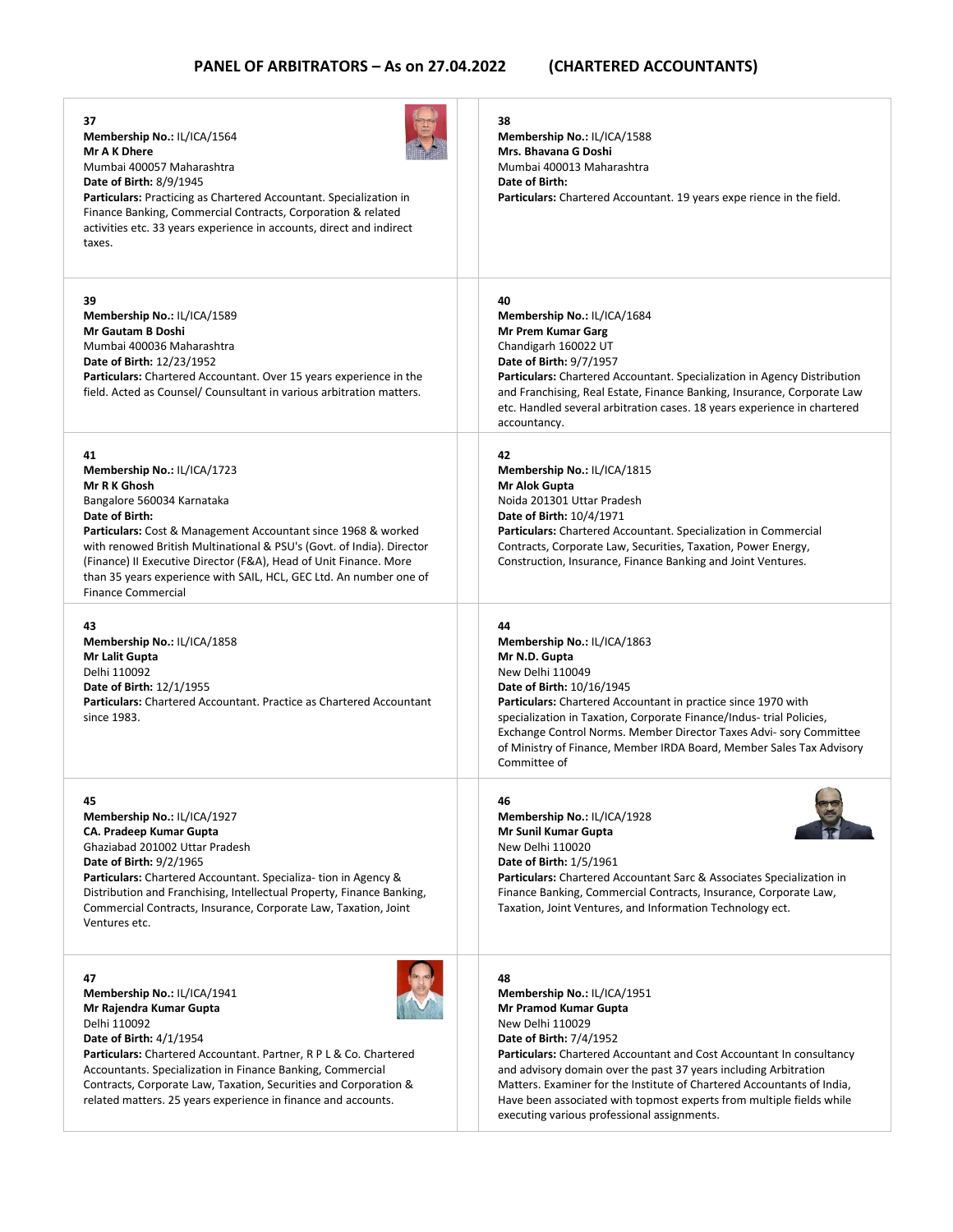| 37<br>Membership No.: IL/ICA/1564<br>Mr A K Dhere<br>Mumbai 400057 Maharashtra<br><b>Date of Birth: 8/9/1945</b><br><b>Particulars:</b> Practicing as Chartered Accountant. Specialization in<br>Finance Banking, Commercial Contracts, Corporation & related<br>activities etc. 33 years experience in accounts, direct and indirect<br>taxes.                                                                            | 38<br>Membership No.: IL/ICA/1588<br>Mrs. Bhavana G Doshi<br>Mumbai 400013 Maharashtra<br>Date of Birth:<br><b>Particulars:</b> Chartered Accountant. 19 years expe rience in the field.                                                                                                                                                                                                                                                                             |
|----------------------------------------------------------------------------------------------------------------------------------------------------------------------------------------------------------------------------------------------------------------------------------------------------------------------------------------------------------------------------------------------------------------------------|----------------------------------------------------------------------------------------------------------------------------------------------------------------------------------------------------------------------------------------------------------------------------------------------------------------------------------------------------------------------------------------------------------------------------------------------------------------------|
| 39<br>Membership No.: IL/ICA/1589<br>Mr Gautam B Doshi<br>Mumbai 400036 Maharashtra<br>Date of Birth: 12/23/1952<br><b>Particulars:</b> Chartered Accountant. Over 15 years experience in the<br>field. Acted as Counsel/ Counsultant in various arbitration matters.                                                                                                                                                      | 40<br>Membership No.: IL/ICA/1684<br>Mr Prem Kumar Garg<br>Chandigarh 160022 UT<br><b>Date of Birth: 9/7/1957</b><br><b>Particulars:</b> Chartered Accountant. Specialization in Agency Distribution<br>and Franchising, Real Estate, Finance Banking, Insurance, Corporate Law<br>etc. Handled several arbitration cases. 18 years experience in chartered<br>accountancy.                                                                                          |
| 41<br>Membership No.: IL/ICA/1723<br>Mr R K Ghosh<br>Bangalore 560034 Karnataka<br>Date of Birth:<br><b>Particulars:</b> Cost & Management Accountant since 1968 & worked<br>with renowed British Multinational & PSU's (Govt. of India). Director<br>(Finance) II Executive Director (F&A), Head of Unit Finance. More<br>than 35 years experience with SAIL, HCL, GEC Ltd. An number one of<br><b>Finance Commercial</b> | 42<br>Membership No.: IL/ICA/1815<br>Mr Alok Gupta<br>Noida 201301 Uttar Pradesh<br>Date of Birth: 10/4/1971<br>Particulars: Chartered Accountant. Specialization in Commercial<br>Contracts, Corporate Law, Securities, Taxation, Power Energy,<br>Construction, Insurance, Finance Banking and Joint Ventures.                                                                                                                                                     |
| 43<br>Membership No.: IL/ICA/1858<br>Mr Lalit Gupta<br>Delhi 110092<br>Date of Birth: 12/1/1955<br>Particulars: Chartered Accountant. Practice as Chartered Accountant<br>since 1983.                                                                                                                                                                                                                                      | 44<br>Membership No.: IL/ICA/1863<br>Mr N.D. Gupta<br>New Delhi 110049<br>Date of Birth: 10/16/1945<br>Particulars: Chartered Accountant in practice since 1970 with<br>specialization in Taxation, Corporate Finance/Indus- trial Policies,<br>Exchange Control Norms. Member Director Taxes Advi- sory Committee<br>of Ministry of Finance, Member IRDA Board, Member Sales Tax Advisory<br>Committee of                                                           |
| 45<br>Membership No.: IL/ICA/1927<br><b>CA. Pradeep Kumar Gupta</b><br>Ghaziabad 201002 Uttar Pradesh<br>Date of Birth: 9/2/1965<br>Particulars: Chartered Accountant. Specializa- tion in Agency &<br>Distribution and Franchising, Intellectual Property, Finance Banking,<br>Commercial Contracts, Insurance, Corporate Law, Taxation, Joint<br>Ventures etc.                                                           | 46<br>Membership No.: IL/ICA/1928<br>Mr Sunil Kumar Gupta<br>New Delhi 110020<br><b>Date of Birth: 1/5/1961</b><br><b>Particulars:</b> Chartered Accountant Sarc & Associates Specialization in<br>Finance Banking, Commercial Contracts, Insurance, Corporate Law,<br>Taxation, Joint Ventures, and Information Technology ect.                                                                                                                                     |
| 47<br>Membership No.: IL/ICA/1941<br>Mr Rajendra Kumar Gupta<br>Delhi 110092<br><b>Date of Birth: 4/1/1954</b><br><b>Particulars:</b> Chartered Accountant. Partner, R P L & Co. Chartered<br>Accountants. Specialization in Finance Banking, Commercial<br>Contracts, Corporate Law, Taxation, Securities and Corporation &<br>related matters. 25 years experience in finance and accounts.                              | 48<br>Membership No.: IL/ICA/1951<br>Mr Pramod Kumar Gupta<br>New Delhi 110029<br><b>Date of Birth: 7/4/1952</b><br><b>Particulars:</b> Chartered Accountant and Cost Accountant In consultancy<br>and advisory domain over the past 37 years including Arbitration<br>Matters. Examiner for the Institute of Chartered Accountants of India,<br>Have been associated with topmost experts from multiple fields while<br>executing various professional assignments. |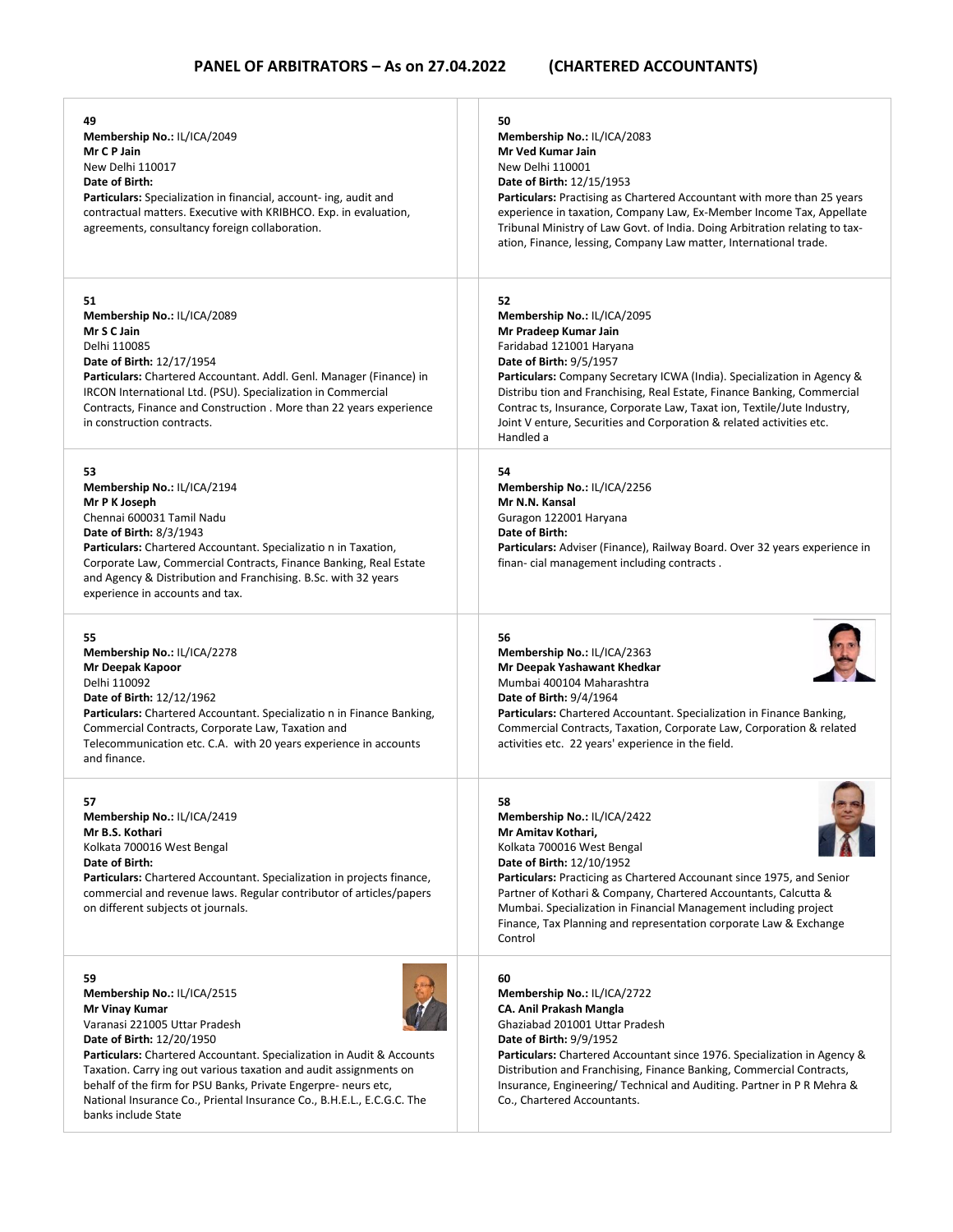| 49<br>Membership No.: IL/ICA/2049<br>Mr C P Jain<br>New Delhi 110017<br>Date of Birth:<br><b>Particulars:</b> Specialization in financial, account- ing, audit and<br>contractual matters. Executive with KRIBHCO. Exp. in evaluation,<br>agreements, consultancy foreign collaboration.                                                                                                                                                  | 50<br>Membership No.: IL/ICA/2083<br>Mr Ved Kumar Jain<br>New Delhi 110001<br>Date of Birth: 12/15/1953<br>Particulars: Practising as Chartered Accountant with more than 25 years<br>experience in taxation, Company Law, Ex-Member Income Tax, Appellate<br>Tribunal Ministry of Law Govt. of India. Doing Arbitration relating to tax-<br>ation, Finance, lessing, Company Law matter, International trade.                                 |
|-------------------------------------------------------------------------------------------------------------------------------------------------------------------------------------------------------------------------------------------------------------------------------------------------------------------------------------------------------------------------------------------------------------------------------------------|------------------------------------------------------------------------------------------------------------------------------------------------------------------------------------------------------------------------------------------------------------------------------------------------------------------------------------------------------------------------------------------------------------------------------------------------|
| 51<br>Membership No.: IL/ICA/2089<br>Mr S C Jain<br>Delhi 110085<br>Date of Birth: 12/17/1954<br>Particulars: Chartered Accountant. Addl. Genl. Manager (Finance) in<br>IRCON International Ltd. (PSU). Specialization in Commercial<br>Contracts, Finance and Construction . More than 22 years experience<br>in construction contracts.                                                                                                 | 52<br>Membership No.: IL/ICA/2095<br>Mr Pradeep Kumar Jain<br>Faridabad 121001 Haryana<br>Date of Birth: 9/5/1957<br><b>Particulars:</b> Company Secretary ICWA (India). Specialization in Agency &<br>Distribu tion and Franchising, Real Estate, Finance Banking, Commercial<br>Contrac ts, Insurance, Corporate Law, Taxat ion, Textile/Jute Industry,<br>Joint V enture, Securities and Corporation & related activities etc.<br>Handled a |
| 53<br>Membership No.: IL/ICA/2194<br>Mr P K Joseph<br>Chennai 600031 Tamil Nadu<br><b>Date of Birth: 8/3/1943</b><br>Particulars: Chartered Accountant. Specializatio n in Taxation,<br>Corporate Law, Commercial Contracts, Finance Banking, Real Estate<br>and Agency & Distribution and Franchising. B.Sc. with 32 years<br>experience in accounts and tax.                                                                            | 54<br>Membership No.: IL/ICA/2256<br>Mr N.N. Kansal<br>Guragon 122001 Haryana<br>Date of Birth:<br>Particulars: Adviser (Finance), Railway Board. Over 32 years experience in<br>finan-cial management including contracts.                                                                                                                                                                                                                    |
| 55<br>Membership No.: IL/ICA/2278<br>Mr Deepak Kapoor<br>Delhi 110092<br>Date of Birth: 12/12/1962<br>Particulars: Chartered Accountant. Specializatio n in Finance Banking,<br>Commercial Contracts, Corporate Law, Taxation and<br>Telecommunication etc. C.A. with 20 years experience in accounts<br>and finance.                                                                                                                     | 56<br>Membership No.: IL/ICA/2363<br>Mr Deepak Yashawant Khedkar<br>Mumbai 400104 Maharashtra<br><b>Date of Birth: 9/4/1964</b><br>Particulars: Chartered Accountant. Specialization in Finance Banking,<br>Commercial Contracts, Taxation, Corporate Law, Corporation & related<br>activities etc. 22 years' experience in the field.                                                                                                         |
| 57<br>Membership No.: IL/ICA/2419<br>Mr B.S. Kothari<br>Kolkata 700016 West Bengal<br>Date of Birth:<br>Particulars: Chartered Accountant. Specialization in projects finance,<br>commercial and revenue laws. Regular contributor of articles/papers<br>on different subjects ot journals.                                                                                                                                               | 58<br>Membership No.: IL/ICA/2422<br>Mr Amitav Kothari,<br>Kolkata 700016 West Bengal<br>Date of Birth: 12/10/1952<br>Particulars: Practicing as Chartered Accounant since 1975, and Senior<br>Partner of Kothari & Company, Chartered Accountants, Calcutta &<br>Mumbai. Specialization in Financial Management including project<br>Finance, Tax Planning and representation corporate Law & Exchange<br>Control                             |
| 59<br>Membership No.: IL/ICA/2515<br>Mr Vinay Kumar<br>Varanasi 221005 Uttar Pradesh<br>Date of Birth: 12/20/1950<br><b>Particulars:</b> Chartered Accountant. Specialization in Audit & Accounts<br>Taxation. Carry ing out various taxation and audit assignments on<br>behalf of the firm for PSU Banks, Private Engerpre- neurs etc,<br>National Insurance Co., Priental Insurance Co., B.H.E.L., E.C.G.C. The<br>banks include State | 60<br>Membership No.: IL/ICA/2722<br>CA. Anil Prakash Mangla<br>Ghaziabad 201001 Uttar Pradesh<br><b>Date of Birth: 9/9/1952</b><br>Particulars: Chartered Accountant since 1976. Specialization in Agency &<br>Distribution and Franchising, Finance Banking, Commercial Contracts,<br>Insurance, Engineering/ Technical and Auditing. Partner in P R Mehra &<br>Co., Chartered Accountants.                                                  |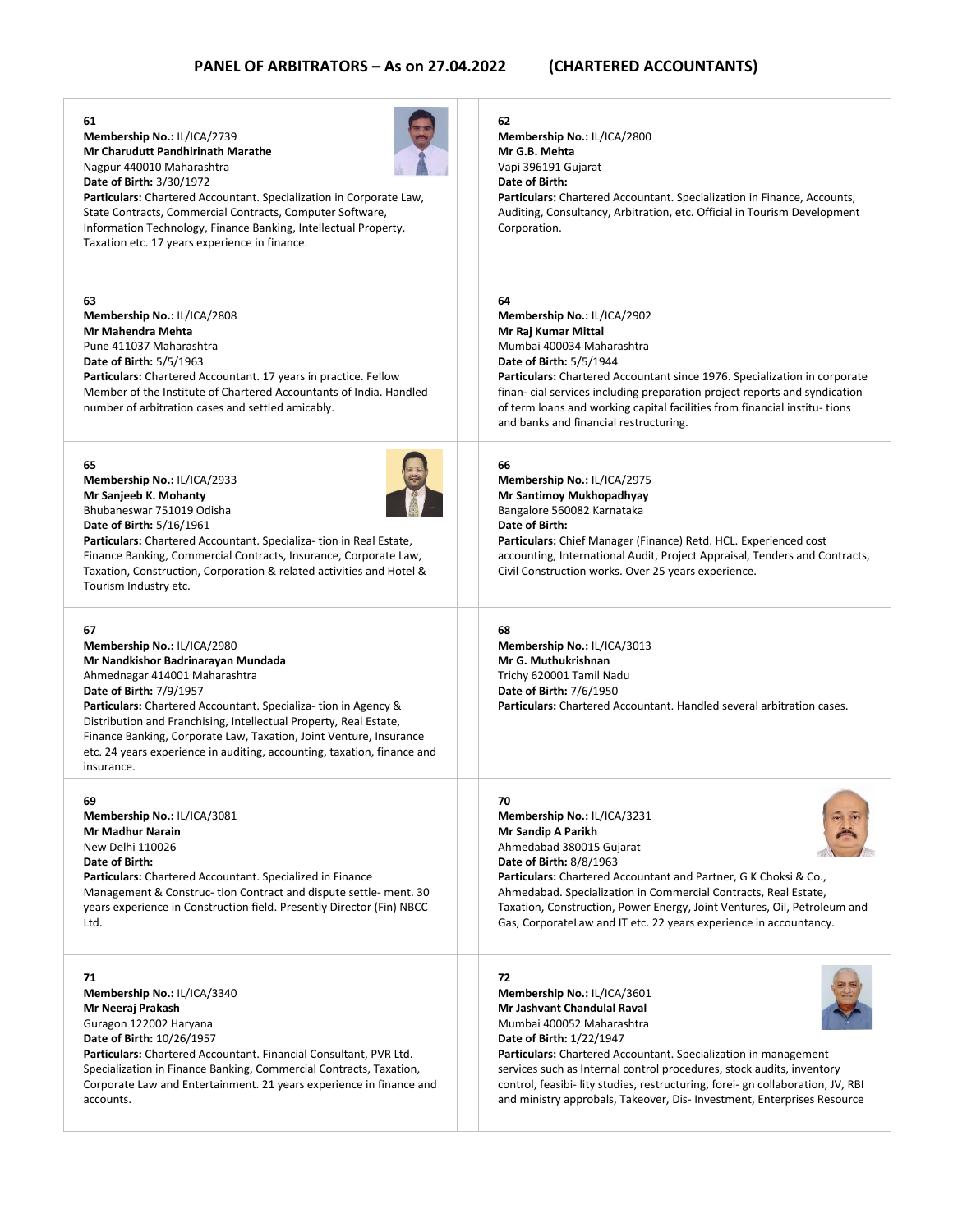| 61<br>Membership No.: IL/ICA/2739<br><b>Mr Charudutt Pandhirinath Marathe</b><br>Nagpur 440010 Maharashtra<br><b>Date of Birth: 3/30/1972</b><br>Particulars: Chartered Accountant. Specialization in Corporate Law,<br>State Contracts, Commercial Contracts, Computer Software,<br>Information Technology, Finance Banking, Intellectual Property,<br>Taxation etc. 17 years experience in finance.                                                    | 62<br>Membership No.: IL/ICA/2800<br>Mr G.B. Mehta<br>Vapi 396191 Gujarat<br>Date of Birth:<br>Particulars: Chartered Accountant. Specialization in Finance, Accounts,<br>Auditing, Consultancy, Arbitration, etc. Official in Tourism Development<br>Corporation.                                                                                                                                                                      |
|----------------------------------------------------------------------------------------------------------------------------------------------------------------------------------------------------------------------------------------------------------------------------------------------------------------------------------------------------------------------------------------------------------------------------------------------------------|-----------------------------------------------------------------------------------------------------------------------------------------------------------------------------------------------------------------------------------------------------------------------------------------------------------------------------------------------------------------------------------------------------------------------------------------|
| 63<br>Membership No.: IL/ICA/2808<br>Mr Mahendra Mehta<br>Pune 411037 Maharashtra<br><b>Date of Birth: 5/5/1963</b><br>Particulars: Chartered Accountant. 17 years in practice. Fellow<br>Member of the Institute of Chartered Accountants of India. Handled<br>number of arbitration cases and settled amicably.                                                                                                                                        | 64<br>Membership No.: IL/ICA/2902<br>Mr Raj Kumar Mittal<br>Mumbai 400034 Maharashtra<br><b>Date of Birth: 5/5/1944</b><br><b>Particulars:</b> Chartered Accountant since 1976. Specialization in corporate<br>finan-cial services including preparation project reports and syndication<br>of term loans and working capital facilities from financial institu-tions<br>and banks and financial restructuring.                         |
| 65<br>Membership No.: IL/ICA/2933<br>Mr Sanjeeb K. Mohanty<br>Bhubaneswar 751019 Odisha<br><b>Date of Birth: 5/16/1961</b><br>Particulars: Chartered Accountant. Specializa- tion in Real Estate,<br>Finance Banking, Commercial Contracts, Insurance, Corporate Law,<br>Taxation, Construction, Corporation & related activities and Hotel &<br>Tourism Industry etc.                                                                                   | 66<br>Membership No.: IL/ICA/2975<br>Mr Santimoy Mukhopadhyay<br>Bangalore 560082 Karnataka<br>Date of Birth:<br>Particulars: Chief Manager (Finance) Retd. HCL. Experienced cost<br>accounting, International Audit, Project Appraisal, Tenders and Contracts,<br>Civil Construction works. Over 25 years experience.                                                                                                                  |
| 67<br>Membership No.: IL/ICA/2980<br>Mr Nandkishor Badrinarayan Mundada<br>Ahmednagar 414001 Maharashtra<br><b>Date of Birth: 7/9/1957</b><br><b>Particulars:</b> Chartered Accountant. Specializa- tion in Agency &<br>Distribution and Franchising, Intellectual Property, Real Estate,<br>Finance Banking, Corporate Law, Taxation, Joint Venture, Insurance<br>etc. 24 years experience in auditing, accounting, taxation, finance and<br>insurance. | 68<br>Membership No.: IL/ICA/3013<br>Mr G. Muthukrishnan<br>Trichy 620001 Tamil Nadu<br><b>Date of Birth: 7/6/1950</b><br>Particulars: Chartered Accountant, Handled several arbitration cases.                                                                                                                                                                                                                                         |
| 69<br>Membership No.: IL/ICA/3081<br><b>Mr Madhur Narain</b><br>New Delhi 110026<br>Date of Birth:<br>Particulars: Chartered Accountant. Specialized in Finance<br>Management & Construc-tion Contract and dispute settle-ment. 30<br>years experience in Construction field. Presently Director (Fin) NBCC<br>Ltd.                                                                                                                                      | 70<br>Membership No.: IL/ICA/3231<br>Mr Sandip A Parikh<br>Ahmedabad 380015 Gujarat<br>Date of Birth: 8/8/1963<br>Particulars: Chartered Accountant and Partner, G K Choksi & Co.,<br>Ahmedabad. Specialization in Commercial Contracts, Real Estate,<br>Taxation, Construction, Power Energy, Joint Ventures, Oil, Petroleum and<br>Gas, CorporateLaw and IT etc. 22 years experience in accountancy.                                  |
| 71<br>Membership No.: IL/ICA/3340<br>Mr Neeraj Prakash<br>Guragon 122002 Haryana<br>Date of Birth: 10/26/1957<br>Particulars: Chartered Accountant. Financial Consultant, PVR Ltd.<br>Specialization in Finance Banking, Commercial Contracts, Taxation,<br>Corporate Law and Entertainment. 21 years experience in finance and<br>accounts.                                                                                                             | 72<br>Membership No.: IL/ICA/3601<br>Mr Jashvant Chandulal Raval<br>Mumbai 400052 Maharashtra<br><b>Date of Birth: 1/22/1947</b><br>Particulars: Chartered Accountant. Specialization in management<br>services such as Internal control procedures, stock audits, inventory<br>control, feasibi-lity studies, restructuring, forei-gn collaboration, JV, RBI<br>and ministry approbals, Takeover, Dis-Investment, Enterprises Resource |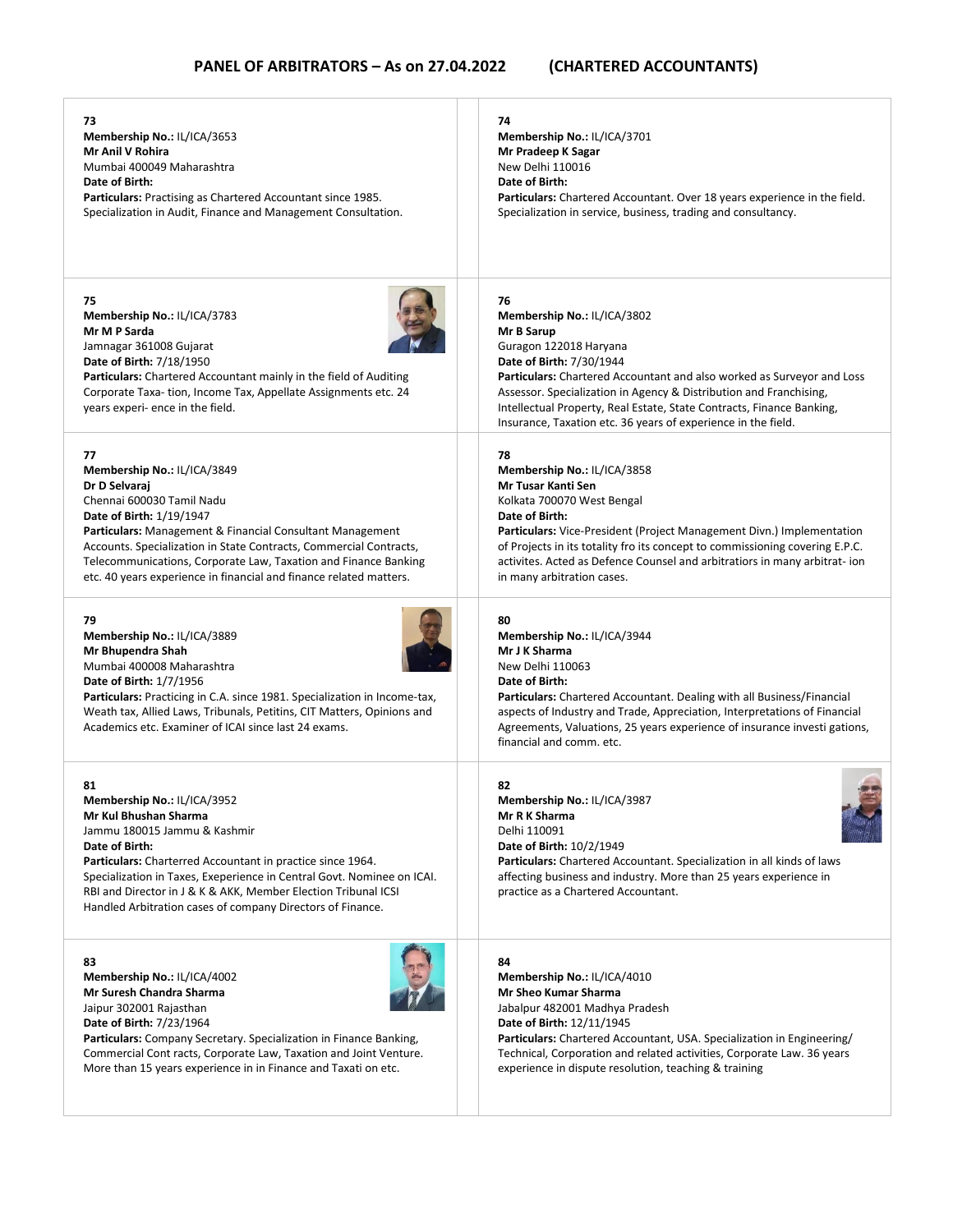| 73                                                                                                                                                                                                                                                                                                                                                                                   | 74                                                                                                                                                                                                                                                                                                                                                                                                     |
|--------------------------------------------------------------------------------------------------------------------------------------------------------------------------------------------------------------------------------------------------------------------------------------------------------------------------------------------------------------------------------------|--------------------------------------------------------------------------------------------------------------------------------------------------------------------------------------------------------------------------------------------------------------------------------------------------------------------------------------------------------------------------------------------------------|
| Membership No.: IL/ICA/3653                                                                                                                                                                                                                                                                                                                                                          | Membership No.: IL/ICA/3701                                                                                                                                                                                                                                                                                                                                                                            |
| Mr Anil V Rohira                                                                                                                                                                                                                                                                                                                                                                     | Mr Pradeep K Sagar                                                                                                                                                                                                                                                                                                                                                                                     |
| Mumbai 400049 Maharashtra                                                                                                                                                                                                                                                                                                                                                            | New Delhi 110016                                                                                                                                                                                                                                                                                                                                                                                       |
| Date of Birth:                                                                                                                                                                                                                                                                                                                                                                       | Date of Birth:                                                                                                                                                                                                                                                                                                                                                                                         |
| <b>Particulars:</b> Practising as Chartered Accountant since 1985.                                                                                                                                                                                                                                                                                                                   | Particulars: Chartered Accountant. Over 18 years experience in the field.                                                                                                                                                                                                                                                                                                                              |
| Specialization in Audit, Finance and Management Consultation.                                                                                                                                                                                                                                                                                                                        | Specialization in service, business, trading and consultancy.                                                                                                                                                                                                                                                                                                                                          |
| 75<br>Membership No.: IL/ICA/3783<br>Mr M P Sarda<br>Jamnagar 361008 Gujarat<br>Date of Birth: 7/18/1950<br><b>Particulars:</b> Chartered Accountant mainly in the field of Auditing<br>Corporate Taxa-tion, Income Tax, Appellate Assignments etc. 24<br>years experi- ence in the field.                                                                                           | 76<br>Membership No.: IL/ICA/3802<br>Mr B Sarup<br>Guragon 122018 Haryana<br>Date of Birth: 7/30/1944<br><b>Particulars:</b> Chartered Accountant and also worked as Surveyor and Loss<br>Assessor. Specialization in Agency & Distribution and Franchising,<br>Intellectual Property, Real Estate, State Contracts, Finance Banking,<br>Insurance, Taxation etc. 36 years of experience in the field. |
| 77                                                                                                                                                                                                                                                                                                                                                                                   | 78                                                                                                                                                                                                                                                                                                                                                                                                     |
| Membership No.: IL/ICA/3849                                                                                                                                                                                                                                                                                                                                                          | Membership No.: IL/ICA/3858                                                                                                                                                                                                                                                                                                                                                                            |
| Dr D Selvaraj                                                                                                                                                                                                                                                                                                                                                                        | Mr Tusar Kanti Sen                                                                                                                                                                                                                                                                                                                                                                                     |
| Chennai 600030 Tamil Nadu                                                                                                                                                                                                                                                                                                                                                            | Kolkata 700070 West Bengal                                                                                                                                                                                                                                                                                                                                                                             |
| Date of Birth: 1/19/1947                                                                                                                                                                                                                                                                                                                                                             | Date of Birth:                                                                                                                                                                                                                                                                                                                                                                                         |
| Particulars: Management & Financial Consultant Management                                                                                                                                                                                                                                                                                                                            | <b>Particulars:</b> Vice-President (Project Management Divn.) Implementation                                                                                                                                                                                                                                                                                                                           |
| Accounts. Specialization in State Contracts, Commercial Contracts,                                                                                                                                                                                                                                                                                                                   | of Projects in its totality fro its concept to commissioning covering E.P.C.                                                                                                                                                                                                                                                                                                                           |
| Telecommunications, Corporate Law, Taxation and Finance Banking                                                                                                                                                                                                                                                                                                                      | activites. Acted as Defence Counsel and arbitratiors in many arbitrat- ion                                                                                                                                                                                                                                                                                                                             |
| etc. 40 years experience in financial and finance related matters.                                                                                                                                                                                                                                                                                                                   | in many arbitration cases.                                                                                                                                                                                                                                                                                                                                                                             |
| 79<br>Membership No.: IL/ICA/3889<br>Mr Bhupendra Shah<br>Mumbai 400008 Maharashtra<br><b>Date of Birth: 1/7/1956</b><br>Particulars: Practicing in C.A. since 1981. Specialization in Income-tax,<br>Weath tax, Allied Laws, Tribunals, Petitins, CIT Matters, Opinions and<br>Academics etc. Examiner of ICAI since last 24 exams.                                                 | 80<br>Membership No.: IL/ICA/3944<br>Mr J K Sharma<br>New Delhi 110063<br>Date of Birth:<br><b>Particulars:</b> Chartered Accountant. Dealing with all Business/Financial<br>aspects of Industry and Trade, Appreciation, Interpretations of Financial<br>Agreements, Valuations, 25 years experience of insurance investi gations,<br>financial and comm. etc.                                        |
| 81<br>Membership No.: IL/ICA/3952<br>Mr Kul Bhushan Sharma<br>Jammu 180015 Jammu & Kashmir<br>Date of Birth:<br>Particulars: Charterred Accountant in practice since 1964.<br>Specialization in Taxes, Exeperience in Central Govt. Nominee on ICAI.<br>RBI and Director in J & K & AKK, Member Election Tribunal ICSI<br>Handled Arbitration cases of company Directors of Finance. | 82<br>Membership No.: IL/ICA/3987<br>Mr R K Sharma<br>Delhi 110091<br><b>Date of Birth: 10/2/1949</b><br><b>Particulars:</b> Chartered Accountant. Specialization in all kinds of laws<br>affecting business and industry. More than 25 years experience in<br>practice as a Chartered Accountant.                                                                                                     |
| 83                                                                                                                                                                                                                                                                                                                                                                                   | 84                                                                                                                                                                                                                                                                                                                                                                                                     |
| Membership No.: IL/ICA/4002                                                                                                                                                                                                                                                                                                                                                          | Membership No.: IL/ICA/4010                                                                                                                                                                                                                                                                                                                                                                            |
| Mr Suresh Chandra Sharma                                                                                                                                                                                                                                                                                                                                                             | Mr Sheo Kumar Sharma                                                                                                                                                                                                                                                                                                                                                                                   |
| Jaipur 302001 Rajasthan                                                                                                                                                                                                                                                                                                                                                              | Jabalpur 482001 Madhya Pradesh                                                                                                                                                                                                                                                                                                                                                                         |
| Date of Birth: 7/23/1964                                                                                                                                                                                                                                                                                                                                                             | Date of Birth: 12/11/1945                                                                                                                                                                                                                                                                                                                                                                              |
| Particulars: Company Secretary. Specialization in Finance Banking,                                                                                                                                                                                                                                                                                                                   | <b>Particulars:</b> Chartered Accountant, USA. Specialization in Engineering/                                                                                                                                                                                                                                                                                                                          |
| Commercial Cont racts, Corporate Law, Taxation and Joint Venture.                                                                                                                                                                                                                                                                                                                    | Technical, Corporation and related activities, Corporate Law. 36 years                                                                                                                                                                                                                                                                                                                                 |
| More than 15 years experience in in Finance and Taxati on etc.                                                                                                                                                                                                                                                                                                                       | experience in dispute resolution, teaching & training                                                                                                                                                                                                                                                                                                                                                  |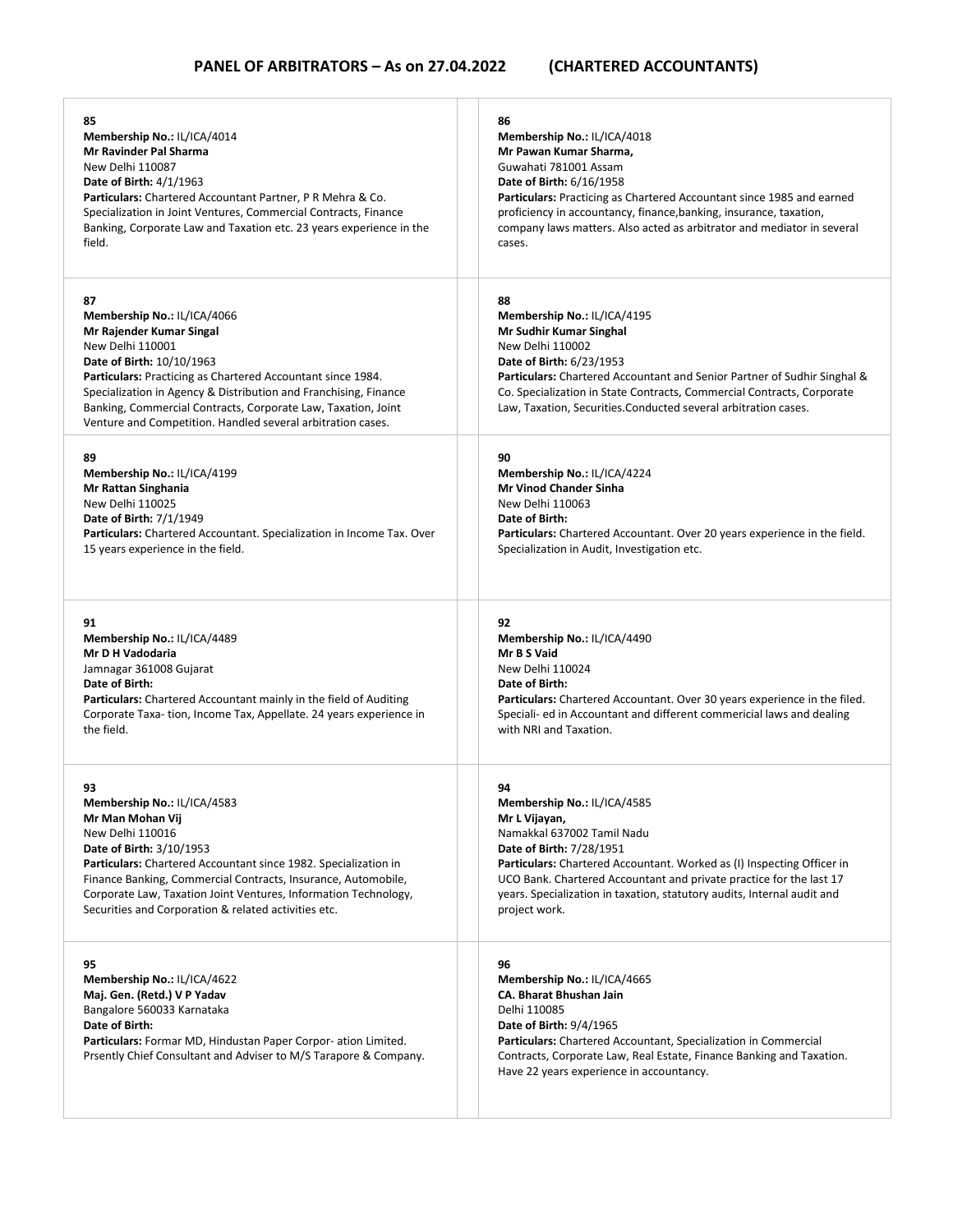| 85                                                                                                                                                                                                                                                                                                                                                                                | 86                                                                                                                                                                                                                                                                                                                                          |
|-----------------------------------------------------------------------------------------------------------------------------------------------------------------------------------------------------------------------------------------------------------------------------------------------------------------------------------------------------------------------------------|---------------------------------------------------------------------------------------------------------------------------------------------------------------------------------------------------------------------------------------------------------------------------------------------------------------------------------------------|
| Membership No.: IL/ICA/4014                                                                                                                                                                                                                                                                                                                                                       | Membership No.: IL/ICA/4018                                                                                                                                                                                                                                                                                                                 |
| Mr Ravinder Pal Sharma                                                                                                                                                                                                                                                                                                                                                            | Mr Pawan Kumar Sharma.                                                                                                                                                                                                                                                                                                                      |
| New Delhi 110087                                                                                                                                                                                                                                                                                                                                                                  | Guwahati 781001 Assam                                                                                                                                                                                                                                                                                                                       |
| <b>Date of Birth: 4/1/1963</b>                                                                                                                                                                                                                                                                                                                                                    | <b>Date of Birth: 6/16/1958</b>                                                                                                                                                                                                                                                                                                             |
| Particulars: Chartered Accountant Partner, P R Mehra & Co.                                                                                                                                                                                                                                                                                                                        | <b>Particulars:</b> Practicing as Chartered Accountant since 1985 and earned                                                                                                                                                                                                                                                                |
| Specialization in Joint Ventures, Commercial Contracts, Finance                                                                                                                                                                                                                                                                                                                   | proficiency in accountancy, finance, banking, insurance, taxation,                                                                                                                                                                                                                                                                          |
| Banking, Corporate Law and Taxation etc. 23 years experience in the                                                                                                                                                                                                                                                                                                               | company laws matters. Also acted as arbitrator and mediator in several                                                                                                                                                                                                                                                                      |
| field.                                                                                                                                                                                                                                                                                                                                                                            | cases.                                                                                                                                                                                                                                                                                                                                      |
| 87<br>Membership No.: IL/ICA/4066<br>Mr Rajender Kumar Singal<br>New Delhi 110001<br>Date of Birth: 10/10/1963<br>Particulars: Practicing as Chartered Accountant since 1984.<br>Specialization in Agency & Distribution and Franchising, Finance<br>Banking, Commercial Contracts, Corporate Law, Taxation, Joint<br>Venture and Competition. Handled several arbitration cases. | 88<br>Membership No.: IL/ICA/4195<br>Mr Sudhir Kumar Singhal<br>New Delhi 110002<br>Date of Birth: 6/23/1953<br><b>Particulars:</b> Chartered Accountant and Senior Partner of Sudhir Singhal &<br>Co. Specialization in State Contracts, Commercial Contracts, Corporate<br>Law, Taxation, Securities.Conducted several arbitration cases. |
| 89                                                                                                                                                                                                                                                                                                                                                                                | 90                                                                                                                                                                                                                                                                                                                                          |
| Membership No.: IL/ICA/4199                                                                                                                                                                                                                                                                                                                                                       | Membership No.: IL/ICA/4224                                                                                                                                                                                                                                                                                                                 |
| Mr Rattan Singhania                                                                                                                                                                                                                                                                                                                                                               | <b>Mr Vinod Chander Sinha</b>                                                                                                                                                                                                                                                                                                               |
| New Delhi 110025                                                                                                                                                                                                                                                                                                                                                                  | New Delhi 110063                                                                                                                                                                                                                                                                                                                            |
| Date of Birth: 7/1/1949                                                                                                                                                                                                                                                                                                                                                           | Date of Birth:                                                                                                                                                                                                                                                                                                                              |
| Particulars: Chartered Accountant. Specialization in Income Tax. Over                                                                                                                                                                                                                                                                                                             | Particulars: Chartered Accountant. Over 20 years experience in the field.                                                                                                                                                                                                                                                                   |
| 15 years experience in the field.                                                                                                                                                                                                                                                                                                                                                 | Specialization in Audit, Investigation etc.                                                                                                                                                                                                                                                                                                 |
| 91                                                                                                                                                                                                                                                                                                                                                                                | 92                                                                                                                                                                                                                                                                                                                                          |
| Membership No.: IL/ICA/4489                                                                                                                                                                                                                                                                                                                                                       | Membership No.: IL/ICA/4490                                                                                                                                                                                                                                                                                                                 |
| Mr D H Vadodaria                                                                                                                                                                                                                                                                                                                                                                  | Mr B S Vaid                                                                                                                                                                                                                                                                                                                                 |
| Jamnagar 361008 Gujarat                                                                                                                                                                                                                                                                                                                                                           | New Delhi 110024                                                                                                                                                                                                                                                                                                                            |
| Date of Birth:                                                                                                                                                                                                                                                                                                                                                                    | Date of Birth:                                                                                                                                                                                                                                                                                                                              |
| <b>Particulars:</b> Chartered Accountant mainly in the field of Auditing                                                                                                                                                                                                                                                                                                          | Particulars: Chartered Accountant. Over 30 years experience in the filed.                                                                                                                                                                                                                                                                   |
| Corporate Taxa-tion, Income Tax, Appellate. 24 years experience in                                                                                                                                                                                                                                                                                                                | Speciali- ed in Accountant and different commericial laws and dealing                                                                                                                                                                                                                                                                       |
| the field.                                                                                                                                                                                                                                                                                                                                                                        | with NRI and Taxation.                                                                                                                                                                                                                                                                                                                      |
| 93                                                                                                                                                                                                                                                                                                                                                                                | 94                                                                                                                                                                                                                                                                                                                                          |
| Membership No.: IL/ICA/4583                                                                                                                                                                                                                                                                                                                                                       | Membership No.: IL/ICA/4585                                                                                                                                                                                                                                                                                                                 |
| Mr Man Mohan Vij                                                                                                                                                                                                                                                                                                                                                                  | Mr L Vijayan,                                                                                                                                                                                                                                                                                                                               |
| New Delhi 110016                                                                                                                                                                                                                                                                                                                                                                  | Namakkal 637002 Tamil Nadu                                                                                                                                                                                                                                                                                                                  |
| Date of Birth: 3/10/1953                                                                                                                                                                                                                                                                                                                                                          | <b>Date of Birth: 7/28/1951</b>                                                                                                                                                                                                                                                                                                             |
| Particulars: Chartered Accountant since 1982. Specialization in                                                                                                                                                                                                                                                                                                                   | <b>Particulars:</b> Chartered Accountant. Worked as (I) Inspecting Officer in                                                                                                                                                                                                                                                               |
| Finance Banking, Commercial Contracts, Insurance, Automobile,                                                                                                                                                                                                                                                                                                                     | UCO Bank. Chartered Accountant and private practice for the last 17                                                                                                                                                                                                                                                                         |
| Corporate Law, Taxation Joint Ventures, Information Technology,                                                                                                                                                                                                                                                                                                                   | years. Specialization in taxation, statutory audits, Internal audit and                                                                                                                                                                                                                                                                     |
| Securities and Corporation & related activities etc.                                                                                                                                                                                                                                                                                                                              | project work.                                                                                                                                                                                                                                                                                                                               |
| 95<br>Membership No.: IL/ICA/4622<br>Maj. Gen. (Retd.) V P Yadav<br>Bangalore 560033 Karnataka<br>Date of Birth:<br>Particulars: Formar MD, Hindustan Paper Corpor-ation Limited.<br>Prsently Chief Consultant and Adviser to M/S Tarapore & Company.                                                                                                                             | 96<br>Membership No.: IL/ICA/4665<br>CA. Bharat Bhushan Jain<br>Delhi 110085<br><b>Date of Birth: 9/4/1965</b><br><b>Particulars:</b> Chartered Accountant, Specialization in Commercial<br>Contracts, Corporate Law, Real Estate, Finance Banking and Taxation.<br>Have 22 years experience in accountancy.                                |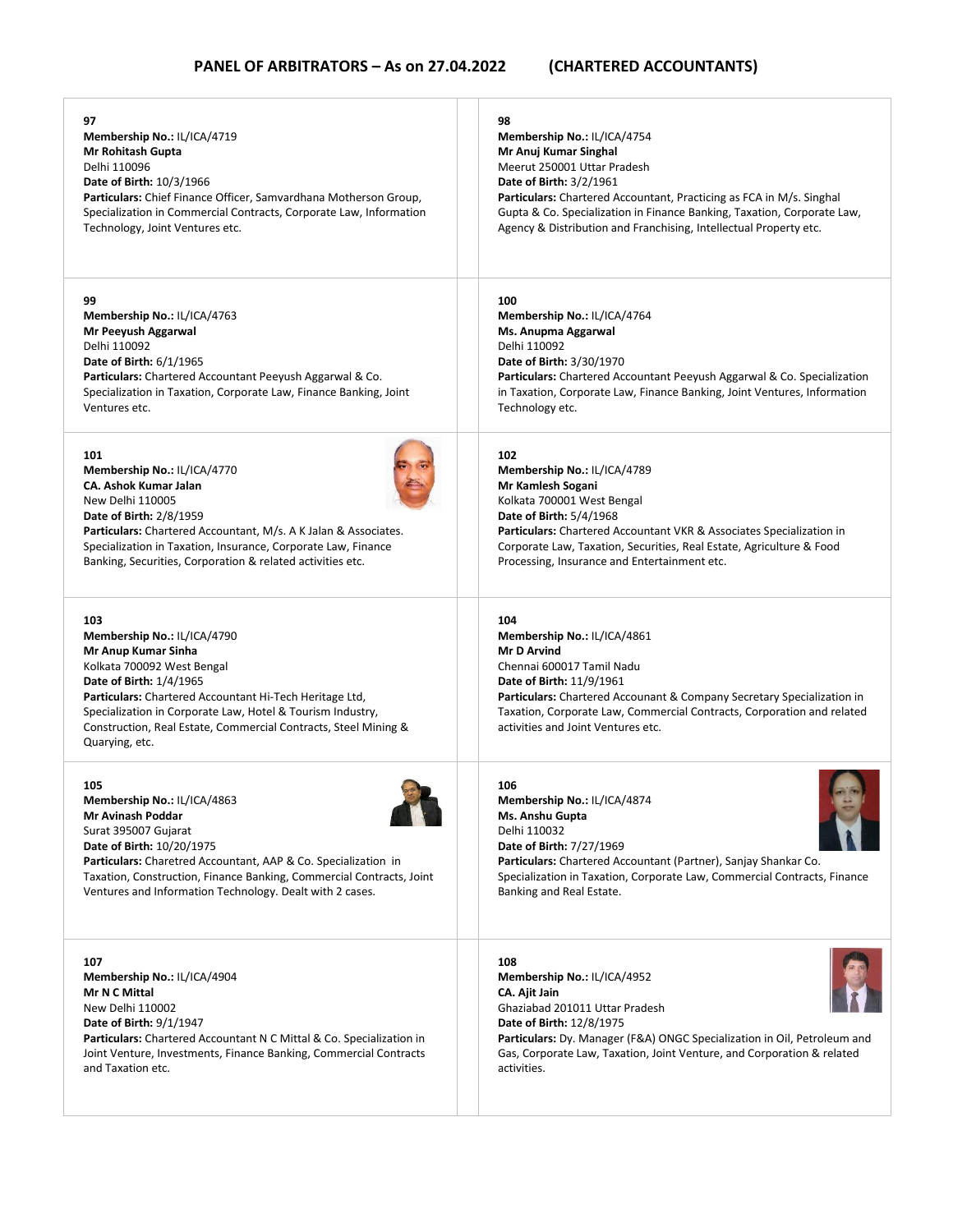| 97                                                                                                                                                                                                                                                                                                                               | 98                                                                                                                                                                                                                                                                                                                        |
|----------------------------------------------------------------------------------------------------------------------------------------------------------------------------------------------------------------------------------------------------------------------------------------------------------------------------------|---------------------------------------------------------------------------------------------------------------------------------------------------------------------------------------------------------------------------------------------------------------------------------------------------------------------------|
| Membership No.: IL/ICA/4719                                                                                                                                                                                                                                                                                                      | Membership No.: IL/ICA/4754                                                                                                                                                                                                                                                                                               |
| <b>Mr Rohitash Gupta</b>                                                                                                                                                                                                                                                                                                         | Mr Anuj Kumar Singhal                                                                                                                                                                                                                                                                                                     |
| Delhi 110096                                                                                                                                                                                                                                                                                                                     | Meerut 250001 Uttar Pradesh                                                                                                                                                                                                                                                                                               |
| <b>Date of Birth: 10/3/1966</b>                                                                                                                                                                                                                                                                                                  | <b>Date of Birth: 3/2/1961</b>                                                                                                                                                                                                                                                                                            |
| Particulars: Chief Finance Officer, Samvardhana Motherson Group,                                                                                                                                                                                                                                                                 | <b>Particulars:</b> Chartered Accountant, Practicing as FCA in M/s. Singhal                                                                                                                                                                                                                                               |
| Specialization in Commercial Contracts, Corporate Law, Information                                                                                                                                                                                                                                                               | Gupta & Co. Specialization in Finance Banking, Taxation, Corporate Law,                                                                                                                                                                                                                                                   |
| Technology, Joint Ventures etc.                                                                                                                                                                                                                                                                                                  | Agency & Distribution and Franchising, Intellectual Property etc.                                                                                                                                                                                                                                                         |
| 99                                                                                                                                                                                                                                                                                                                               | 100                                                                                                                                                                                                                                                                                                                       |
| Membership No.: IL/ICA/4763                                                                                                                                                                                                                                                                                                      | Membership No.: IL/ICA/4764                                                                                                                                                                                                                                                                                               |
| Mr Peeyush Aggarwal                                                                                                                                                                                                                                                                                                              | Ms. Anupma Aggarwal                                                                                                                                                                                                                                                                                                       |
| Delhi 110092                                                                                                                                                                                                                                                                                                                     | Delhi 110092                                                                                                                                                                                                                                                                                                              |
| <b>Date of Birth: 6/1/1965</b>                                                                                                                                                                                                                                                                                                   | <b>Date of Birth: 3/30/1970</b>                                                                                                                                                                                                                                                                                           |
| Particulars: Chartered Accountant Peeyush Aggarwal & Co.                                                                                                                                                                                                                                                                         | <b>Particulars:</b> Chartered Accountant Peeyush Aggarwal & Co. Specialization                                                                                                                                                                                                                                            |
| Specialization in Taxation, Corporate Law, Finance Banking, Joint                                                                                                                                                                                                                                                                | in Taxation, Corporate Law, Finance Banking, Joint Ventures, Information                                                                                                                                                                                                                                                  |
| Ventures etc.                                                                                                                                                                                                                                                                                                                    | Technology etc.                                                                                                                                                                                                                                                                                                           |
| 101                                                                                                                                                                                                                                                                                                                              | 102                                                                                                                                                                                                                                                                                                                       |
| Membership No.: IL/ICA/4770                                                                                                                                                                                                                                                                                                      | Membership No.: IL/ICA/4789                                                                                                                                                                                                                                                                                               |
| <b>CA. Ashok Kumar Jalan</b>                                                                                                                                                                                                                                                                                                     | Mr Kamlesh Sogani                                                                                                                                                                                                                                                                                                         |
| New Delhi 110005                                                                                                                                                                                                                                                                                                                 | Kolkata 700001 West Bengal                                                                                                                                                                                                                                                                                                |
| <b>Date of Birth: 2/8/1959</b>                                                                                                                                                                                                                                                                                                   | Date of Birth: 5/4/1968                                                                                                                                                                                                                                                                                                   |
| Particulars: Chartered Accountant, M/s. A K Jalan & Associates.                                                                                                                                                                                                                                                                  | <b>Particulars:</b> Chartered Accountant VKR & Associates Specialization in                                                                                                                                                                                                                                               |
| Specialization in Taxation, Insurance, Corporate Law, Finance                                                                                                                                                                                                                                                                    | Corporate Law, Taxation, Securities, Real Estate, Agriculture & Food                                                                                                                                                                                                                                                      |
| Banking, Securities, Corporation & related activities etc.                                                                                                                                                                                                                                                                       | Processing, Insurance and Entertainment etc.                                                                                                                                                                                                                                                                              |
| 103<br>Membership No.: IL/ICA/4790<br>Mr Anup Kumar Sinha<br>Kolkata 700092 West Bengal<br>Date of Birth: 1/4/1965<br>Particulars: Chartered Accountant Hi-Tech Heritage Ltd,<br>Specialization in Corporate Law, Hotel & Tourism Industry,<br>Construction, Real Estate, Commercial Contracts, Steel Mining &<br>Quarying, etc. | 104<br>Membership No.: IL/ICA/4861<br><b>Mr D Arvind</b><br>Chennai 600017 Tamil Nadu<br><b>Date of Birth: 11/9/1961</b><br><b>Particulars:</b> Chartered Accounant & Company Secretary Specialization in<br>Taxation, Corporate Law, Commercial Contracts, Corporation and related<br>activities and Joint Ventures etc. |
| 105                                                                                                                                                                                                                                                                                                                              | 106                                                                                                                                                                                                                                                                                                                       |
| Membership No.: IL/ICA/4863                                                                                                                                                                                                                                                                                                      | Membership No.: IL/ICA/4874                                                                                                                                                                                                                                                                                               |
| Mr Avinash Poddar                                                                                                                                                                                                                                                                                                                | Ms. Anshu Gupta                                                                                                                                                                                                                                                                                                           |
| Surat 395007 Gujarat                                                                                                                                                                                                                                                                                                             | Delhi 110032                                                                                                                                                                                                                                                                                                              |
| Date of Birth: 10/20/1975                                                                                                                                                                                                                                                                                                        | Date of Birth: 7/27/1969                                                                                                                                                                                                                                                                                                  |
| <b>Particulars:</b> Charetred Accountant, AAP & Co. Specialization in                                                                                                                                                                                                                                                            | Particulars: Chartered Accountant (Partner), Sanjay Shankar Co.                                                                                                                                                                                                                                                           |
| Taxation, Construction, Finance Banking, Commercial Contracts, Joint                                                                                                                                                                                                                                                             | Specialization in Taxation, Corporate Law, Commercial Contracts, Finance                                                                                                                                                                                                                                                  |
| Ventures and Information Technology. Dealt with 2 cases.                                                                                                                                                                                                                                                                         | Banking and Real Estate.                                                                                                                                                                                                                                                                                                  |
| 107                                                                                                                                                                                                                                                                                                                              | 108                                                                                                                                                                                                                                                                                                                       |
| Membership No.: IL/ICA/4904                                                                                                                                                                                                                                                                                                      | Membership No.: IL/ICA/4952                                                                                                                                                                                                                                                                                               |
| Mr N C Mittal                                                                                                                                                                                                                                                                                                                    | CA. Ajit Jain                                                                                                                                                                                                                                                                                                             |
| New Delhi 110002                                                                                                                                                                                                                                                                                                                 | Ghaziabad 201011 Uttar Pradesh                                                                                                                                                                                                                                                                                            |
| <b>Date of Birth: 9/1/1947</b>                                                                                                                                                                                                                                                                                                   | <b>Date of Birth: 12/8/1975</b>                                                                                                                                                                                                                                                                                           |
| <b>Particulars:</b> Chartered Accountant N C Mittal & Co. Specialization in                                                                                                                                                                                                                                                      | <b>Particulars:</b> Dy. Manager (F&A) ONGC Specialization in Oil, Petroleum and                                                                                                                                                                                                                                           |
| Joint Venture, Investments, Finance Banking, Commercial Contracts                                                                                                                                                                                                                                                                | Gas, Corporate Law, Taxation, Joint Venture, and Corporation & related                                                                                                                                                                                                                                                    |
| and Taxation etc.                                                                                                                                                                                                                                                                                                                | activities.                                                                                                                                                                                                                                                                                                               |
|                                                                                                                                                                                                                                                                                                                                  |                                                                                                                                                                                                                                                                                                                           |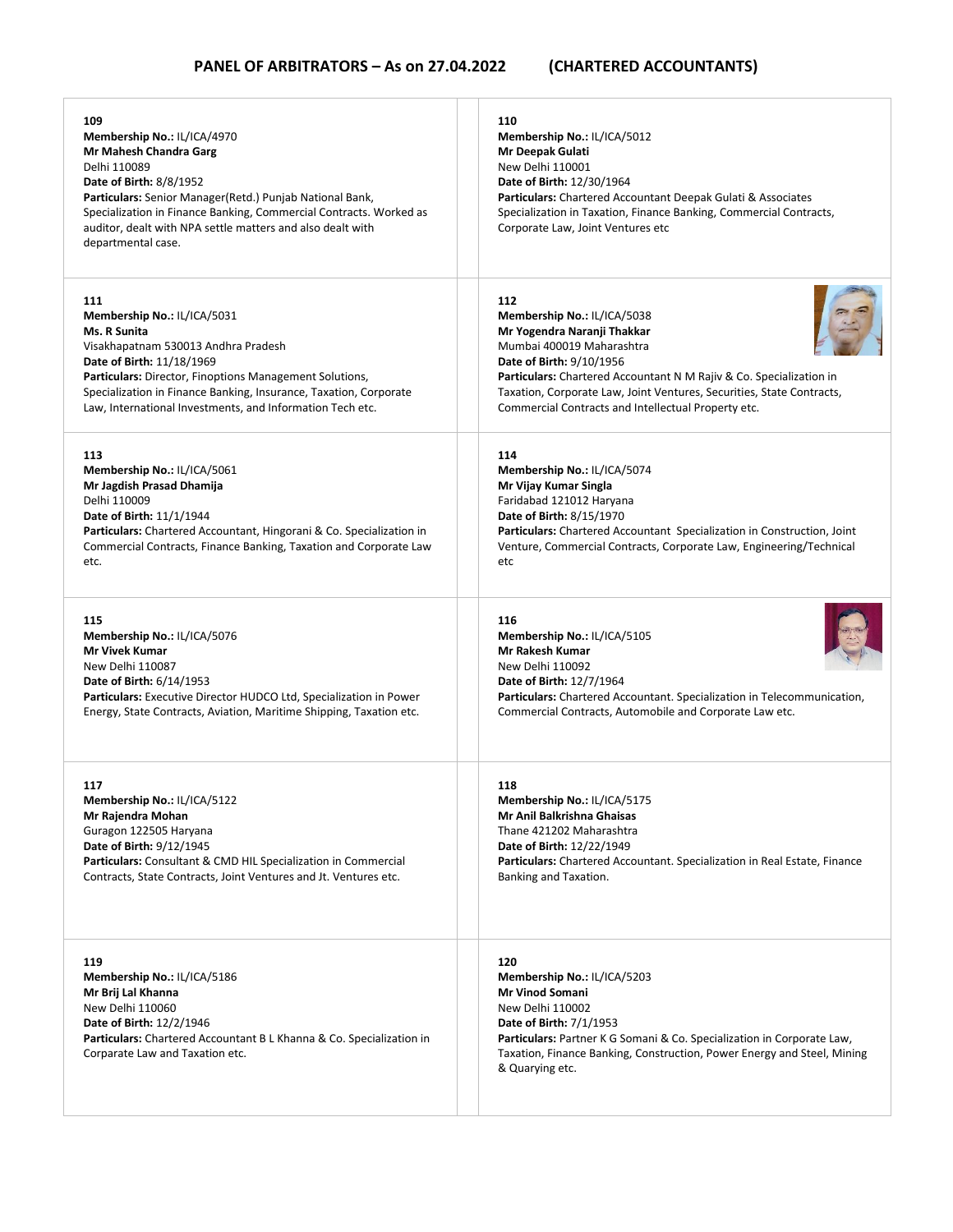| 109<br>Membership No.: IL/ICA/4970<br>Mr Mahesh Chandra Garg<br>Delhi 110089<br><b>Date of Birth: 8/8/1952</b><br>Particulars: Senior Manager(Retd.) Punjab National Bank,<br>Specialization in Finance Banking, Commercial Contracts. Worked as<br>auditor, dealt with NPA settle matters and also dealt with<br>departmental case. | 110<br>Membership No.: IL/ICA/5012<br>Mr Deepak Gulati<br>New Delhi 110001<br>Date of Birth: 12/30/1964<br><b>Particulars:</b> Chartered Accountant Deepak Gulati & Associates<br>Specialization in Taxation, Finance Banking, Commercial Contracts,<br>Corporate Law, Joint Ventures etc  |
|--------------------------------------------------------------------------------------------------------------------------------------------------------------------------------------------------------------------------------------------------------------------------------------------------------------------------------------|--------------------------------------------------------------------------------------------------------------------------------------------------------------------------------------------------------------------------------------------------------------------------------------------|
| 111                                                                                                                                                                                                                                                                                                                                  | 112                                                                                                                                                                                                                                                                                        |
| Membership No.: IL/ICA/5031                                                                                                                                                                                                                                                                                                          | Membership No.: IL/ICA/5038                                                                                                                                                                                                                                                                |
| Ms. R Sunita                                                                                                                                                                                                                                                                                                                         | Mr Yogendra Naranji Thakkar                                                                                                                                                                                                                                                                |
| Visakhapatnam 530013 Andhra Pradesh                                                                                                                                                                                                                                                                                                  | Mumbai 400019 Maharashtra                                                                                                                                                                                                                                                                  |
| Date of Birth: 11/18/1969                                                                                                                                                                                                                                                                                                            | Date of Birth: 9/10/1956                                                                                                                                                                                                                                                                   |
| <b>Particulars:</b> Director, Finoptions Management Solutions,                                                                                                                                                                                                                                                                       | Particulars: Chartered Accountant N M Rajiv & Co. Specialization in                                                                                                                                                                                                                        |
| Specialization in Finance Banking, Insurance, Taxation, Corporate                                                                                                                                                                                                                                                                    | Taxation, Corporate Law, Joint Ventures, Securities, State Contracts,                                                                                                                                                                                                                      |
| Law, International Investments, and Information Tech etc.                                                                                                                                                                                                                                                                            | Commercial Contracts and Intellectual Property etc.                                                                                                                                                                                                                                        |
| 113                                                                                                                                                                                                                                                                                                                                  | 114                                                                                                                                                                                                                                                                                        |
| Membership No.: IL/ICA/5061                                                                                                                                                                                                                                                                                                          | Membership No.: IL/ICA/5074                                                                                                                                                                                                                                                                |
| Mr Jagdish Prasad Dhamija                                                                                                                                                                                                                                                                                                            | Mr Vijay Kumar Singla                                                                                                                                                                                                                                                                      |
| Delhi 110009                                                                                                                                                                                                                                                                                                                         | Faridabad 121012 Haryana                                                                                                                                                                                                                                                                   |
| Date of Birth: 11/1/1944                                                                                                                                                                                                                                                                                                             | Date of Birth: 8/15/1970                                                                                                                                                                                                                                                                   |
| <b>Particulars:</b> Chartered Accountant, Hingorani & Co. Specialization in                                                                                                                                                                                                                                                          | <b>Particulars:</b> Chartered Accountant Specialization in Construction, Joint                                                                                                                                                                                                             |
| Commercial Contracts, Finance Banking, Taxation and Corporate Law                                                                                                                                                                                                                                                                    | Venture, Commercial Contracts, Corporate Law, Engineering/Technical                                                                                                                                                                                                                        |
| etc.                                                                                                                                                                                                                                                                                                                                 | etc                                                                                                                                                                                                                                                                                        |
| 115                                                                                                                                                                                                                                                                                                                                  | 116                                                                                                                                                                                                                                                                                        |
| Membership No.: IL/ICA/5076                                                                                                                                                                                                                                                                                                          | Membership No.: IL/ICA/5105                                                                                                                                                                                                                                                                |
| <b>Mr Vivek Kumar</b>                                                                                                                                                                                                                                                                                                                | Mr Rakesh Kumar                                                                                                                                                                                                                                                                            |
| New Delhi 110087                                                                                                                                                                                                                                                                                                                     | New Delhi 110092                                                                                                                                                                                                                                                                           |
| <b>Date of Birth: 6/14/1953</b>                                                                                                                                                                                                                                                                                                      | <b>Date of Birth: 12/7/1964</b>                                                                                                                                                                                                                                                            |
| Particulars: Executive Director HUDCO Ltd, Specialization in Power                                                                                                                                                                                                                                                                   | Particulars: Chartered Accountant. Specialization in Telecommunication,                                                                                                                                                                                                                    |
| Energy, State Contracts, Aviation, Maritime Shipping, Taxation etc.                                                                                                                                                                                                                                                                  | Commercial Contracts, Automobile and Corporate Law etc.                                                                                                                                                                                                                                    |
| 117                                                                                                                                                                                                                                                                                                                                  | 118                                                                                                                                                                                                                                                                                        |
| Membership No.: IL/ICA/5122                                                                                                                                                                                                                                                                                                          | Membership No.: IL/ICA/5175                                                                                                                                                                                                                                                                |
| Mr Rajendra Mohan                                                                                                                                                                                                                                                                                                                    | Mr Anil Balkrishna Ghaisas                                                                                                                                                                                                                                                                 |
| Guragon 122505 Haryana                                                                                                                                                                                                                                                                                                               | Thane 421202 Maharashtra                                                                                                                                                                                                                                                                   |
| <b>Date of Birth: 9/12/1945</b>                                                                                                                                                                                                                                                                                                      | Date of Birth: 12/22/1949                                                                                                                                                                                                                                                                  |
| <b>Particulars:</b> Consultant & CMD HIL Specialization in Commercial                                                                                                                                                                                                                                                                | Particulars: Chartered Accountant. Specialization in Real Estate, Finance                                                                                                                                                                                                                  |
| Contracts, State Contracts, Joint Ventures and Jt. Ventures etc.                                                                                                                                                                                                                                                                     | Banking and Taxation.                                                                                                                                                                                                                                                                      |
| 119<br>Membership No.: IL/ICA/5186<br>Mr Brij Lal Khanna<br>New Delhi 110060<br><b>Date of Birth: 12/2/1946</b><br>Particulars: Chartered Accountant B L Khanna & Co. Specialization in<br>Corparate Law and Taxation etc.                                                                                                           | 120<br>Membership No.: IL/ICA/5203<br><b>Mr Vinod Somani</b><br>New Delhi 110002<br><b>Date of Birth: 7/1/1953</b><br>Particulars: Partner K G Somani & Co. Specialization in Corporate Law,<br>Taxation, Finance Banking, Construction, Power Energy and Steel, Mining<br>& Quarying etc. |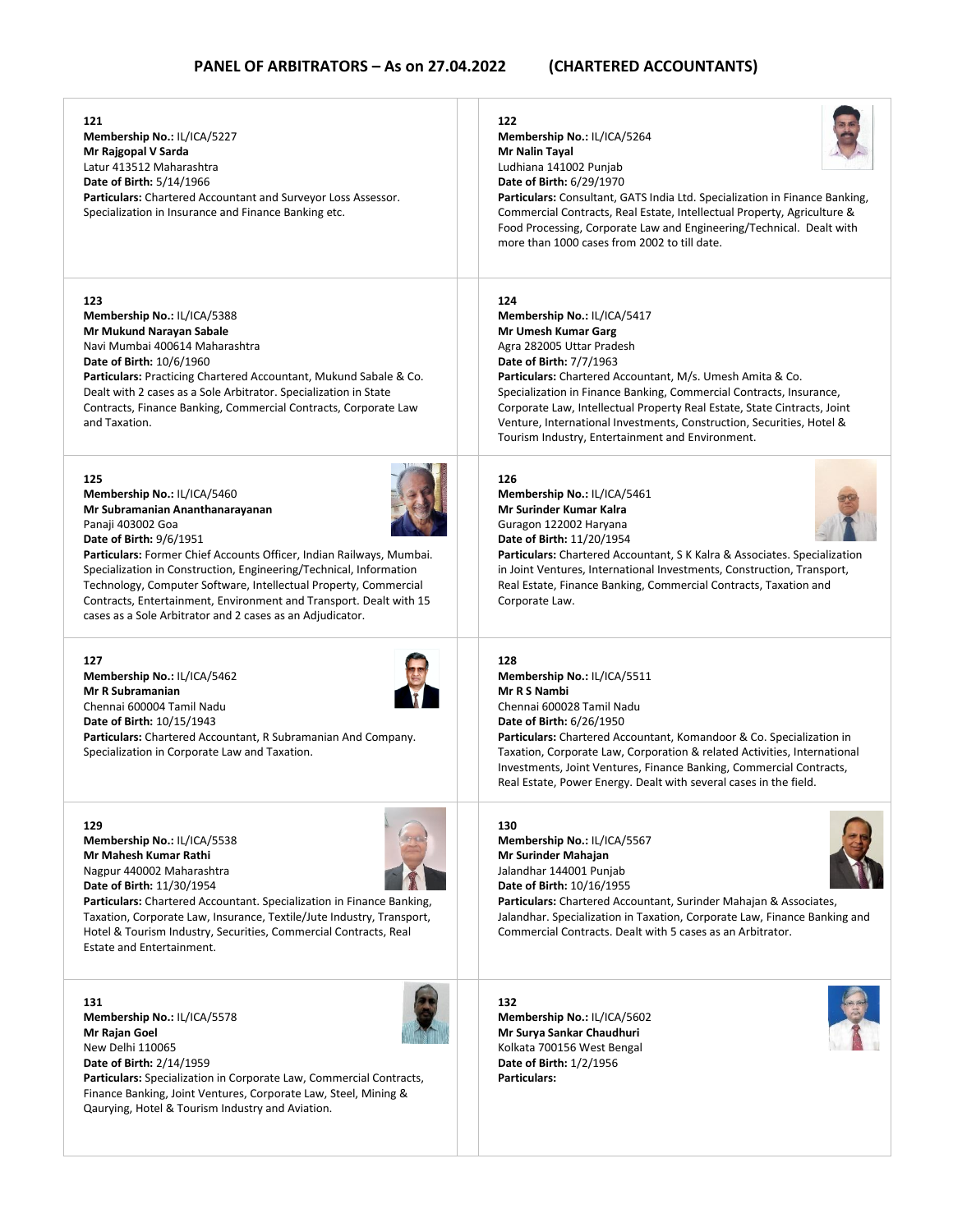### **121 Membership No.:** IL/ICA/5227 **Mr Rajgopal V Sarda** Latur 413512 Maharashtra **Date of Birth:** 5/14/1966 **Particulars:** Chartered Accountant and Surveyor Loss Assessor. Specialization in Insurance and Finance Banking etc. **122 Membership No.:** IL/ICA/5264 **Mr Nalin Tayal** Ludhiana 141002 Punjab **Date of Birth:** 6/29/1970 **Particulars:** Consultant, GATS India Ltd. Specialization in Finance Banking, Commercial Contracts, Real Estate, Intellectual Property, Agriculture & Food Processing, Corporate Law and Engineering/Technical. Dealt with more than 1000 cases from 2002 to till date. **123 Membership No.:** IL/ICA/5388 **Mr Mukund Narayan Sabale** Navi Mumbai 400614 Maharashtra **Date of Birth:** 10/6/1960 **Particulars:** Practicing Chartered Accountant, Mukund Sabale & Co. Dealt with 2 cases as a Sole Arbitrator. Specialization in State Contracts, Finance Banking, Commercial Contracts, Corporate Law and Taxation. **124 Membership No.:** IL/ICA/5417 **Mr Umesh Kumar Garg** Agra 282005 Uttar Pradesh **Date of Birth:** 7/7/1963 **Particulars:** Chartered Accountant, M/s. Umesh Amita & Co. Specialization in Finance Banking, Commercial Contracts, Insurance, Corporate Law, Intellectual Property Real Estate, State Cintracts, Joint Venture, International Investments, Construction, Securities, Hotel & Tourism Industry, Entertainment and Environment. **125 Membership No.:** IL/ICA/5460 **Mr Subramanian Ananthanarayanan** Panaji 403002 Goa **Date of Birth:** 9/6/1951 **Particulars:** Former Chief Accounts Officer, Indian Railways, Mumbai. Specialization in Construction, Engineering/Technical, Information Technology, Computer Software, Intellectual Property, Commercial Contracts, Entertainment, Environment and Transport. Dealt with 15 cases as a Sole Arbitrator and 2 cases as an Adjudicator. **126 Membership No.:** IL/ICA/5461 **Mr Surinder Kumar Kalra** Guragon 122002 Haryana **Date of Birth:** 11/20/1954 **Particulars:** Chartered Accountant, S K Kalra & Associates. Specialization in Joint Ventures, International Investments, Construction, Transport, Real Estate, Finance Banking, Commercial Contracts, Taxation and Corporate Law. **127 Membership No.:** IL/ICA/5462 **Mr R Subramanian** Chennai 600004 Tamil Nadu **Date of Birth:** 10/15/1943 **Particulars:** Chartered Accountant, R Subramanian And Company. Specialization in Corporate Law and Taxation. **128 Membership No.:** IL/ICA/5511 **Mr R S Nambi** Chennai 600028 Tamil Nadu **Date of Birth:** 6/26/1950 **Particulars:** Chartered Accountant, Komandoor & Co. Specialization in Taxation, Corporate Law, Corporation & related Activities, International Investments, Joint Ventures, Finance Banking, Commercial Contracts, Real Estate, Power Energy. Dealt with several cases in the field. **129 Membership No.:** IL/ICA/5538 **Mr Mahesh Kumar Rathi** Nagpur 440002 Maharashtra **Date of Birth:** 11/30/1954 **Particulars:** Chartered Accountant. Specialization in Finance Banking, Taxation, Corporate Law, Insurance, Textile/Jute Industry, Transport, Hotel & Tourism Industry, Securities, Commercial Contracts, Real Estate and Entertainment. **130 Membership No.:** IL/ICA/5567 **Mr Surinder Mahajan** Jalandhar 144001 Punjab **Date of Birth:** 10/16/1955 **Particulars:** Chartered Accountant, Surinder Mahajan & Associates, Jalandhar. Specialization in Taxation, Corporate Law, Finance Banking and Commercial Contracts. Dealt with 5 cases as an Arbitrator. **131 Membership No.:** IL/ICA/5578 **Mr Rajan Goel** New Delhi 110065 **Date of Birth:** 2/14/1959 **132 Membership No.:** IL/ICA/5602 **Mr Surya Sankar Chaudhuri** Kolkata 700156 West Bengal

**Particulars:** Specialization in Corporate Law, Commercial Contracts, Finance Banking, Joint Ventures, Corporate Law, Steel, Mining & Qaurying, Hotel & Tourism Industry and Aviation.

**Date of Birth:** 1/2/1956 **Particulars:**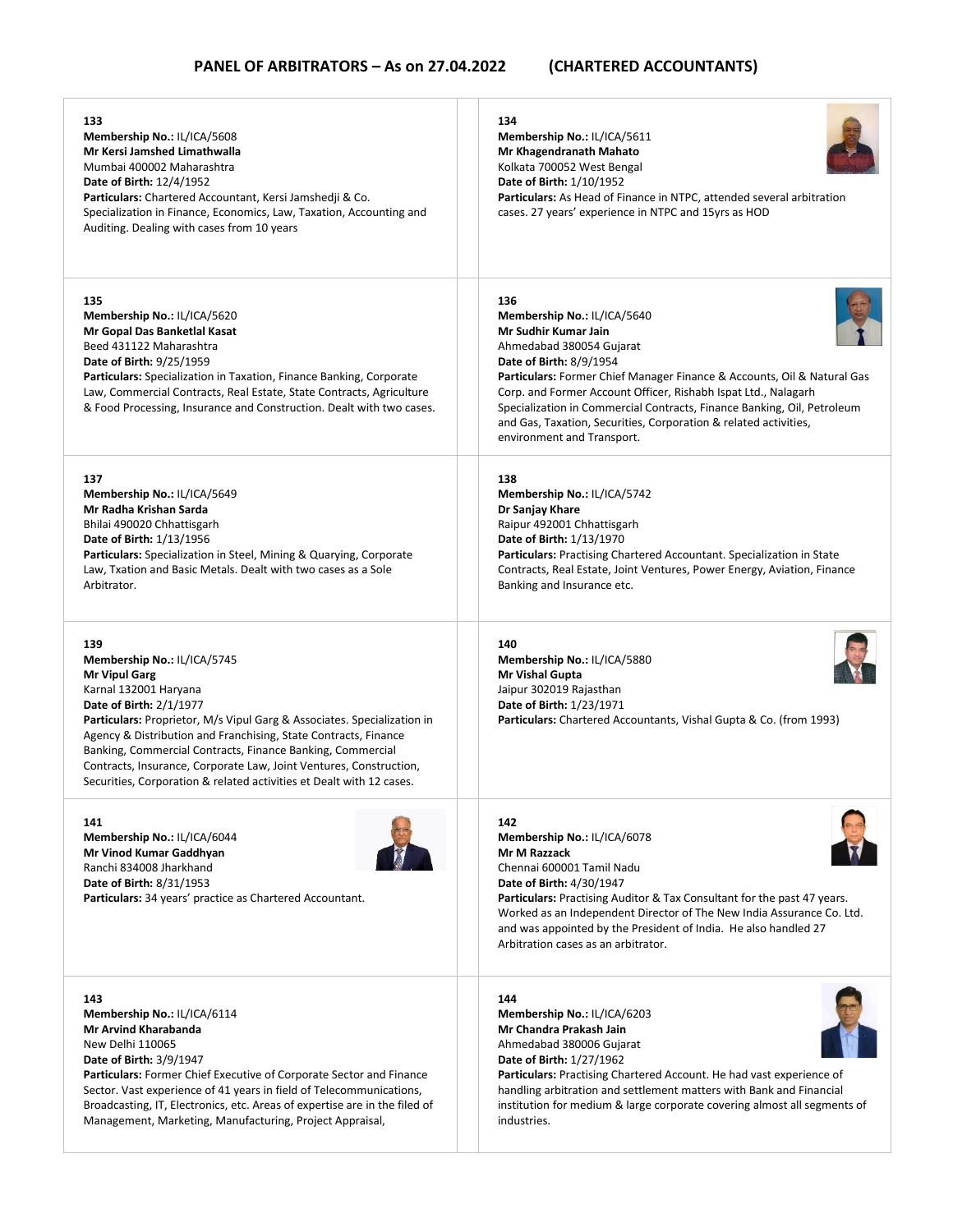| 133<br>Membership No.: IL/ICA/5608<br>Mr Kersi Jamshed Limathwalla<br>Mumbai 400002 Maharashtra<br>Date of Birth: 12/4/1952<br>Particulars: Chartered Accountant, Kersi Jamshedji & Co.<br>Specialization in Finance, Economics, Law, Taxation, Accounting and<br>Auditing. Dealing with cases from 10 years                                                                                                                                                                           | 134<br>Membership No.: IL/ICA/5611<br>Mr Khagendranath Mahato<br>Kolkata 700052 West Bengal<br><b>Date of Birth: 1/10/1952</b><br><b>Particulars:</b> As Head of Finance in NTPC, attended several arbitration<br>cases. 27 years' experience in NTPC and 15yrs as HOD                                                                                                                                                                             |
|----------------------------------------------------------------------------------------------------------------------------------------------------------------------------------------------------------------------------------------------------------------------------------------------------------------------------------------------------------------------------------------------------------------------------------------------------------------------------------------|----------------------------------------------------------------------------------------------------------------------------------------------------------------------------------------------------------------------------------------------------------------------------------------------------------------------------------------------------------------------------------------------------------------------------------------------------|
| 135<br>Membership No.: IL/ICA/5620<br>Mr Gopal Das Banketlal Kasat<br>Beed 431122 Maharashtra<br>Date of Birth: 9/25/1959<br>Particulars: Specialization in Taxation, Finance Banking, Corporate<br>Law, Commercial Contracts, Real Estate, State Contracts, Agriculture<br>& Food Processing, Insurance and Construction. Dealt with two cases.                                                                                                                                       | 136<br>Membership No.: IL/ICA/5640<br>Mr Sudhir Kumar Jain<br>Ahmedabad 380054 Gujarat<br><b>Date of Birth: 8/9/1954</b><br>Particulars: Former Chief Manager Finance & Accounts, Oil & Natural Gas<br>Corp. and Former Account Officer, Rishabh Ispat Ltd., Nalagarh<br>Specialization in Commercial Contracts, Finance Banking, Oil, Petroleum<br>and Gas, Taxation, Securities, Corporation & related activities,<br>environment and Transport. |
| 137<br>Membership No.: IL/ICA/5649<br>Mr Radha Krishan Sarda<br>Bhilai 490020 Chhattisgarh<br><b>Date of Birth: 1/13/1956</b><br><b>Particulars:</b> Specialization in Steel, Mining & Quarying, Corporate<br>Law, Txation and Basic Metals. Dealt with two cases as a Sole<br>Arbitrator.                                                                                                                                                                                             | 138<br>Membership No.: IL/ICA/5742<br>Dr Sanjay Khare<br>Raipur 492001 Chhattisgarh<br>Date of Birth: 1/13/1970<br><b>Particulars:</b> Practising Chartered Accountant. Specialization in State<br>Contracts, Real Estate, Joint Ventures, Power Energy, Aviation, Finance<br>Banking and Insurance etc.                                                                                                                                           |
| 139<br>Membership No.: IL/ICA/5745<br><b>Mr Vipul Garg</b><br>Karnal 132001 Haryana<br><b>Date of Birth: 2/1/1977</b><br><b>Particulars:</b> Proprietor, M/s Vipul Garg & Associates. Specialization in<br>Agency & Distribution and Franchising, State Contracts, Finance<br>Banking, Commercial Contracts, Finance Banking, Commercial<br>Contracts, Insurance, Corporate Law, Joint Ventures, Construction,<br>Securities, Corporation & related activities et Dealt with 12 cases. | 140<br>Membership No.: IL/ICA/5880<br>Mr Vishal Gupta<br>Jaipur 302019 Rajasthan<br>Date of Birth: 1/23/1971<br><b>Particulars:</b> Chartered Accountants, Vishal Gupta & Co. (from 1993)                                                                                                                                                                                                                                                          |
| 141<br>Membership No.: IL/ICA/6044<br>Mr Vinod Kumar Gaddhyan<br>Ranchi 834008 Jharkhand<br>Date of Birth: 8/31/1953<br>Particulars: 34 years' practice as Chartered Accountant.                                                                                                                                                                                                                                                                                                       | 142<br>Membership No.: IL/ICA/6078<br><b>Mr M Razzack</b><br>Chennai 600001 Tamil Nadu<br><b>Date of Birth: 4/30/1947</b><br><b>Particulars:</b> Practising Auditor & Tax Consultant for the past 47 years.<br>Worked as an Independent Director of The New India Assurance Co. Ltd.<br>and was appointed by the President of India. He also handled 27<br>Arbitration cases as an arbitrator.                                                     |
| 143<br>Membership No.: IL/ICA/6114<br>Mr Arvind Kharabanda<br>New Delhi 110065<br><b>Date of Birth: 3/9/1947</b><br><b>Particulars:</b> Former Chief Executive of Corporate Sector and Finance<br>Sector. Vast experience of 41 years in field of Telecommunications,<br>Broadcasting, IT, Electronics, etc. Areas of expertise are in the filed of<br>Management, Marketing, Manufacturing, Project Appraisal,                                                                        | 144<br>Membership No.: IL/ICA/6203<br>Mr Chandra Prakash Jain<br>Ahmedabad 380006 Gujarat<br>Date of Birth: 1/27/1962<br><b>Particulars:</b> Practising Chartered Account. He had vast experience of<br>handling arbitration and settlement matters with Bank and Financial<br>institution for medium & large corporate covering almost all segments of<br>industries.                                                                             |
|                                                                                                                                                                                                                                                                                                                                                                                                                                                                                        |                                                                                                                                                                                                                                                                                                                                                                                                                                                    |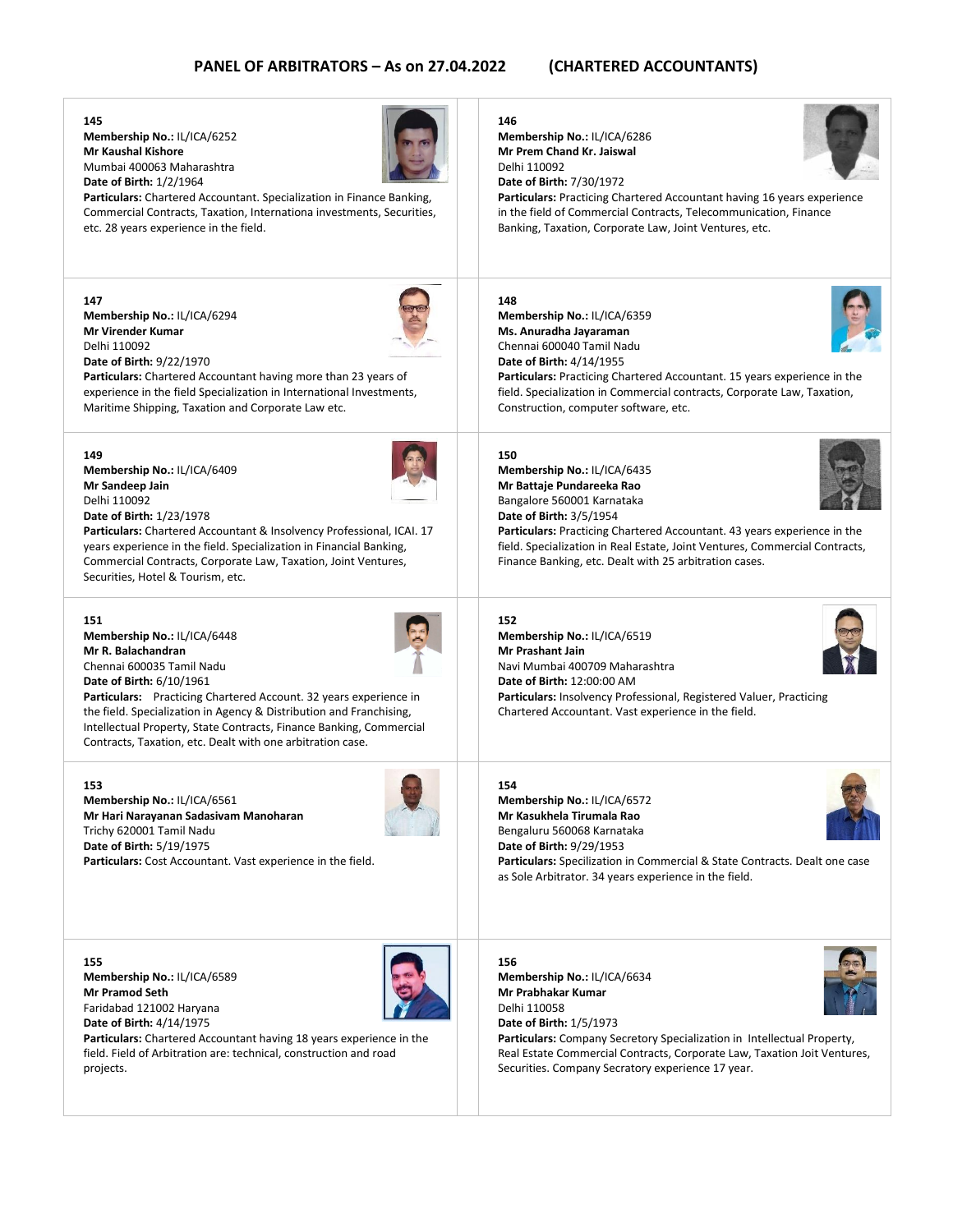**145**

**Membership No.:** IL/ICA/6252 **Mr Kaushal Kishore** Mumbai 400063 Maharashtra **Date of Birth:** 1/2/1964



**Particulars:** Chartered Accountant. Specialization in Finance Banking, Commercial Contracts, Taxation, Internationa investments, Securities, etc. 28 years experience in the field.

**147 Membership No.:** IL/ICA/6294 **Mr Virender Kumar** Delhi 110092 **Date of Birth:** 9/22/1970



**Particulars:** Chartered Accountant having more than 23 years of experience in the field Specialization in International Investments, Maritime Shipping, Taxation and Corporate Law etc.



**Membership No.:** IL/ICA/6409 **Mr Sandeep Jain** Delhi 110092 **Date of Birth:** 1/23/1978

**Particulars:** Chartered Accountant & Insolvency Professional, ICAI. 17 years experience in the field. Specialization in Financial Banking, Commercial Contracts, Corporate Law, Taxation, Joint Ventures, Securities, Hotel & Tourism, etc.

### **151**

**Membership No.:** IL/ICA/6448 **Mr R. Balachandran** Chennai 600035 Tamil Nadu **Date of Birth:** 6/10/1961

**Particulars:** Practicing Chartered Account. 32 years experience in the field. Specialization in Agency & Distribution and Franchising, Intellectual Property, State Contracts, Finance Banking, Commercial Contracts, Taxation, etc. Dealt with one arbitration case.

### **153**

**Membership No.:** IL/ICA/6561 **Mr Hari Narayanan Sadasivam Manoharan** Trichy 620001 Tamil Nadu **Date of Birth:** 5/19/1975 **Particulars:** Cost Accountant. Vast experience in the field.



**155 Membership No.:** IL/ICA/6589 **Mr Pramod Seth** Faridabad 121002 Haryana **Date of Birth:** 4/14/1975



**Particulars:** Chartered Accountant having 18 years experience in the field. Field of Arbitration are: technical, construction and road projects.

### **146**

**Membership No.:** IL/ICA/6286 **Mr Prem Chand Kr. Jaiswal** Delhi 110092 **Date of Birth:** 7/30/1972

**Particulars:** Practicing Chartered Accountant having 16 years experience in the field of Commercial Contracts, Telecommunication, Finance Banking, Taxation, Corporate Law, Joint Ventures, etc.

### **148**

**Membership No.:** IL/ICA/6359 **Ms. Anuradha Jayaraman** Chennai 600040 Tamil Nadu **Date of Birth:** 4/14/1955



**Particulars:** Practicing Chartered Accountant. 15 years experience in the field. Specialization in Commercial contracts, Corporate Law, Taxation, Construction, computer software, etc.

### **150**

**Membership No.:** IL/ICA/6435 **Mr Battaje Pundareeka Rao** Bangalore 560001 Karnataka **Date of Birth:** 3/5/1954



**Particulars:** Practicing Chartered Accountant. 43 years experience in the field. Specialization in Real Estate, Joint Ventures, Commercial Contracts, Finance Banking, etc. Dealt with 25 arbitration cases.

## **152**

**154**

**Membership No.:** IL/ICA/6519 **Mr Prashant Jain** Navi Mumbai 400709 Maharashtra **Date of Birth:** 12:00:00 AM **Particulars:** Insolvency Professional, Registered Valuer, Practicing Chartered Accountant. Vast experience in the field.





**Mr Kasukhela Tirumala Rao** Bengaluru 560068 Karnataka **Date of Birth:** 9/29/1953 **Particulars:** Specilization in Commercial & State Contracts. Dealt one case as Sole Arbitrator. 34 years experience in the field.

## **156 Membership No.:** IL/ICA/6634 **Mr Prabhakar Kumar** Delhi 110058 **Date of Birth:** 1/5/1973

**Membership No.:** IL/ICA/6572

**Particulars:** Company Secretory Specialization in Intellectual Property, Real Estate Commercial Contracts, Corporate Law, Taxation Joit Ventures, Securities. Company Secratory experience 17 year.